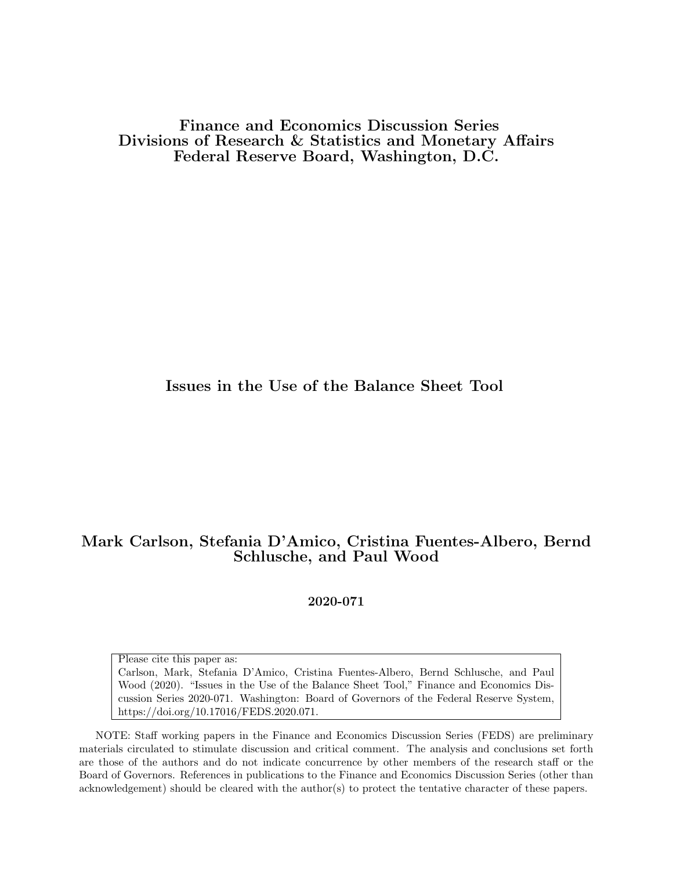Finance and Economics Discussion Series Divisions of Research & Statistics and Monetary Affairs Federal Reserve Board, Washington, D.C.

# Issues in the Use of the Balance Sheet Tool

# Mark Carlson, Stefania D'Amico, Cristina Fuentes-Albero, Bernd Schlusche, and Paul Wood

2020-071

Please cite this paper as:

Carlson, Mark, Stefania D'Amico, Cristina Fuentes-Albero, Bernd Schlusche, and Paul Wood (2020). "Issues in the Use of the Balance Sheet Tool," Finance and Economics Discussion Series 2020-071. Washington: Board of Governors of the Federal Reserve System, https://doi.org/10.17016/FEDS.2020.071.

NOTE: Staff working papers in the Finance and Economics Discussion Series (FEDS) are preliminary materials circulated to stimulate discussion and critical comment. The analysis and conclusions set forth are those of the authors and do not indicate concurrence by other members of the research staff or the Board of Governors. References in publications to the Finance and Economics Discussion Series (other than acknowledgement) should be cleared with the author(s) to protect the tentative character of these papers.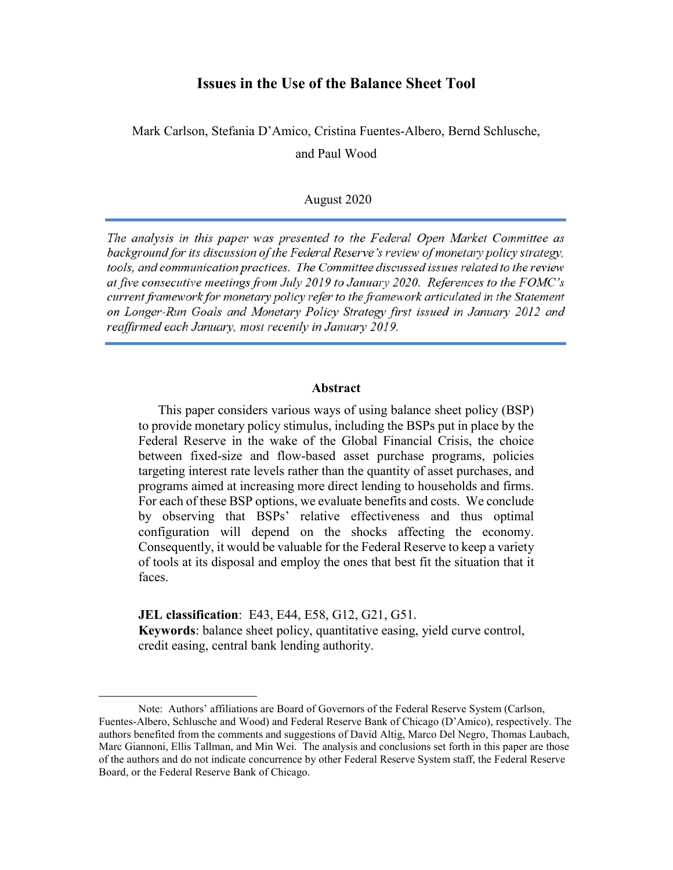# **Issues in the Use of the Balance Sheet Tool**

Mark Carlson, Stefania D'Amico, Cristina Fuentes-Albero, Bernd Schlusche, and Paul Wood

### August 2020

The analysis in this paper was presented to the Federal Open Market Committee as background for its discussion of the Federal Reserve's review of monetary policy strategy, tools, and communication practices. The Committee discussed issues related to the review at five consecutive meetings from July 2019 to January 2020. References to the FOMC's current framework for monetary policy refer to the framework articulated in the Statement on Longer-Run Goals and Monetary Policy Strategy first issued in January 2012 and reaffirmed each January, most recently in January 2019.

#### **Abstract**

This paper considers various ways of using balance sheet policy (BSP) to provide monetary policy stimulus, including the BSPs put in place by the Federal Reserve in the wake of the Global Financial Crisis, the choice between fixed-size and flow-based asset purchase programs, policies targeting interest rate levels rather than the quantity of asset purchases, and programs aimed at increasing more direct lending to households and firms. For each of these BSP options, we evaluate benefits and costs. We conclude by observing that BSPs' relative effectiveness and thus optimal configuration will depend on the shocks affecting the economy. Consequently, it would be valuable for the Federal Reserve to keep a variety of tools at its disposal and employ the ones that best fit the situation that it faces.

**JEL classification**: E43, E44, E58, G12, G21, G51. **Keywords**: balance sheet policy, quantitative easing, yield curve control, credit easing, central bank lending authority.

 $\overline{a}$ 

Note: Authors' affiliations are Board of Governors of the Federal Reserve System (Carlson, Fuentes-Albero, Schlusche and Wood) and Federal Reserve Bank of Chicago (D'Amico), respectively. The authors benefited from the comments and suggestions of David Altig, Marco Del Negro, Thomas Laubach, Marc Giannoni, Ellis Tallman, and Min Wei. The analysis and conclusions set forth in this paper are those of the authors and do not indicate concurrence by other Federal Reserve System staff, the Federal Reserve Board, or the Federal Reserve Bank of Chicago.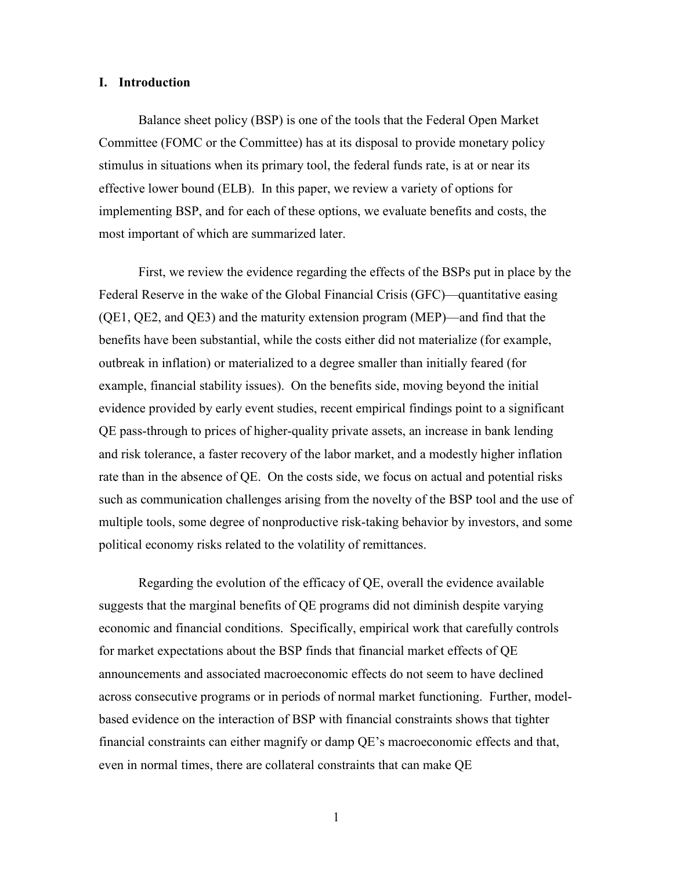### **I. Introduction**

Balance sheet policy (BSP) is one of the tools that the Federal Open Market Committee (FOMC or the Committee) has at its disposal to provide monetary policy stimulus in situations when its primary tool, the federal funds rate, is at or near its effective lower bound (ELB). In this paper, we review a variety of options for implementing BSP, and for each of these options, we evaluate benefits and costs, the most important of which are summarized later.

First, we review the evidence regarding the effects of the BSPs put in place by the Federal Reserve in the wake of the Global Financial Crisis (GFC)—quantitative easing (QE1, QE2, and QE3) and the maturity extension program (MEP)—and find that the benefits have been substantial, while the costs either did not materialize (for example, outbreak in inflation) or materialized to a degree smaller than initially feared (for example, financial stability issues). On the benefits side, moving beyond the initial evidence provided by early event studies, recent empirical findings point to a significant QE pass-through to prices of higher-quality private assets, an increase in bank lending and risk tolerance, a faster recovery of the labor market, and a modestly higher inflation rate than in the absence of QE. On the costs side, we focus on actual and potential risks such as communication challenges arising from the novelty of the BSP tool and the use of multiple tools, some degree of nonproductive risk-taking behavior by investors, and some political economy risks related to the volatility of remittances.

Regarding the evolution of the efficacy of QE, overall the evidence available suggests that the marginal benefits of QE programs did not diminish despite varying economic and financial conditions. Specifically, empirical work that carefully controls for market expectations about the BSP finds that financial market effects of QE announcements and associated macroeconomic effects do not seem to have declined across consecutive programs or in periods of normal market functioning. Further, modelbased evidence on the interaction of BSP with financial constraints shows that tighter financial constraints can either magnify or damp QE's macroeconomic effects and that, even in normal times, there are collateral constraints that can make QE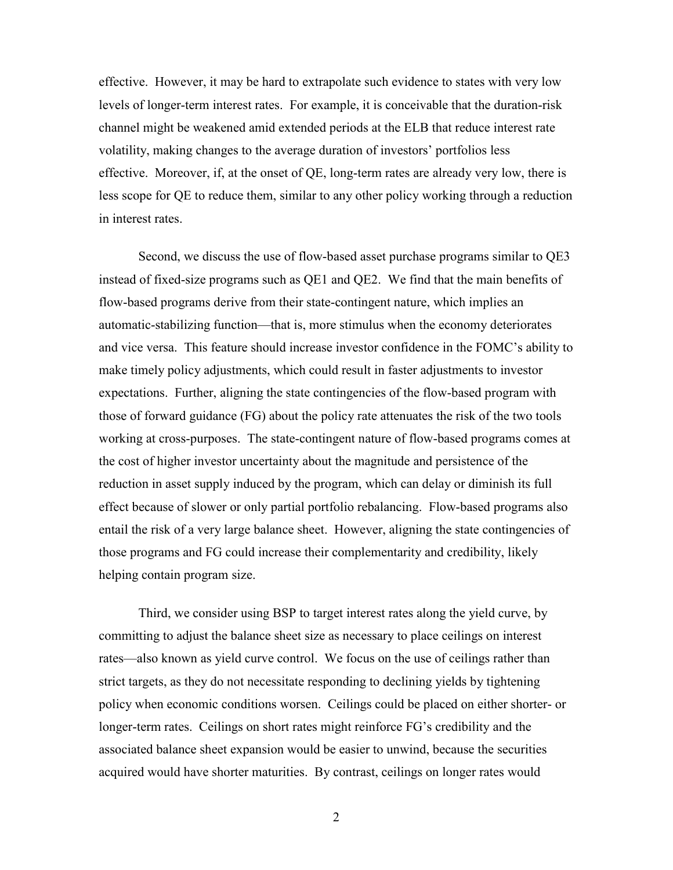effective. However, it may be hard to extrapolate such evidence to states with very low levels of longer-term interest rates. For example, it is conceivable that the duration-risk channel might be weakened amid extended periods at the ELB that reduce interest rate volatility, making changes to the average duration of investors' portfolios less effective. Moreover, if, at the onset of QE, long-term rates are already very low, there is less scope for QE to reduce them, similar to any other policy working through a reduction in interest rates.

Second, we discuss the use of flow-based asset purchase programs similar to QE3 instead of fixed-size programs such as QE1 and QE2. We find that the main benefits of flow-based programs derive from their state-contingent nature, which implies an automatic-stabilizing function—that is, more stimulus when the economy deteriorates and vice versa. This feature should increase investor confidence in the FOMC's ability to make timely policy adjustments, which could result in faster adjustments to investor expectations. Further, aligning the state contingencies of the flow-based program with those of forward guidance (FG) about the policy rate attenuates the risk of the two tools working at cross-purposes. The state-contingent nature of flow-based programs comes at the cost of higher investor uncertainty about the magnitude and persistence of the reduction in asset supply induced by the program, which can delay or diminish its full effect because of slower or only partial portfolio rebalancing. Flow-based programs also entail the risk of a very large balance sheet. However, aligning the state contingencies of those programs and FG could increase their complementarity and credibility, likely helping contain program size.

Third, we consider using BSP to target interest rates along the yield curve, by committing to adjust the balance sheet size as necessary to place ceilings on interest rates—also known as yield curve control. We focus on the use of ceilings rather than strict targets, as they do not necessitate responding to declining yields by tightening policy when economic conditions worsen. Ceilings could be placed on either shorter- or longer-term rates. Ceilings on short rates might reinforce FG's credibility and the associated balance sheet expansion would be easier to unwind, because the securities acquired would have shorter maturities. By contrast, ceilings on longer rates would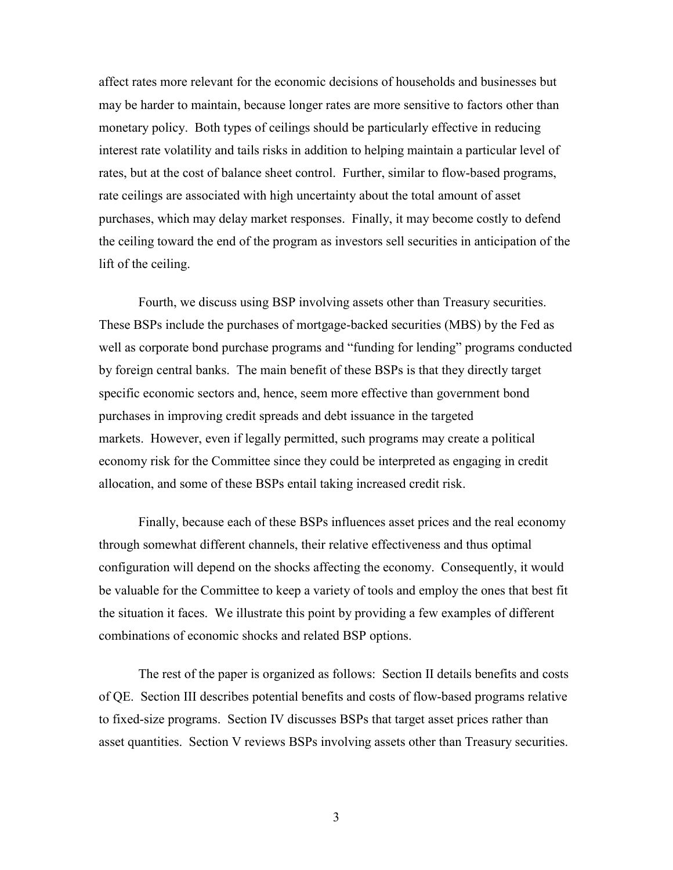affect rates more relevant for the economic decisions of households and businesses but may be harder to maintain, because longer rates are more sensitive to factors other than monetary policy. Both types of ceilings should be particularly effective in reducing interest rate volatility and tails risks in addition to helping maintain a particular level of rates, but at the cost of balance sheet control. Further, similar to flow-based programs, rate ceilings are associated with high uncertainty about the total amount of asset purchases, which may delay market responses. Finally, it may become costly to defend the ceiling toward the end of the program as investors sell securities in anticipation of the lift of the ceiling.

Fourth, we discuss using BSP involving assets other than Treasury securities. These BSPs include the purchases of mortgage-backed securities (MBS) by the Fed as well as corporate bond purchase programs and "funding for lending" programs conducted by foreign central banks. The main benefit of these BSPs is that they directly target specific economic sectors and, hence, seem more effective than government bond purchases in improving credit spreads and debt issuance in the targeted markets. However, even if legally permitted, such programs may create a political economy risk for the Committee since they could be interpreted as engaging in credit allocation, and some of these BSPs entail taking increased credit risk.

Finally, because each of these BSPs influences asset prices and the real economy through somewhat different channels, their relative effectiveness and thus optimal configuration will depend on the shocks affecting the economy. Consequently, it would be valuable for the Committee to keep a variety of tools and employ the ones that best fit the situation it faces. We illustrate this point by providing a few examples of different combinations of economic shocks and related BSP options.

The rest of the paper is organized as follows: Section II details benefits and costs of QE. Section III describes potential benefits and costs of flow-based programs relative to fixed-size programs. Section IV discusses BSPs that target asset prices rather than asset quantities. Section V reviews BSPs involving assets other than Treasury securities.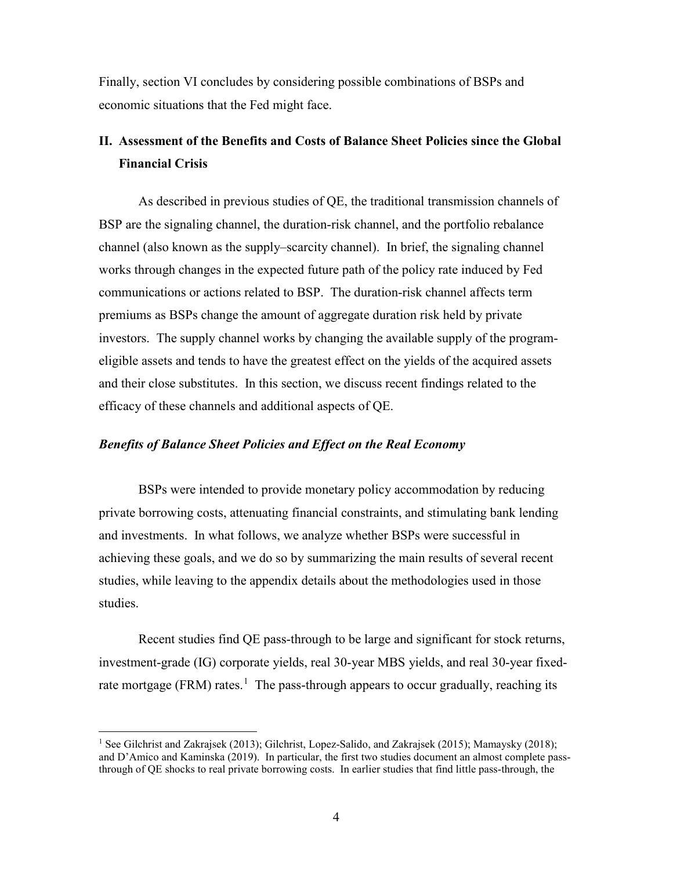Finally, section VI concludes by considering possible combinations of BSPs and economic situations that the Fed might face.

# **II. Assessment of the Benefits and Costs of Balance Sheet Policies since the Global Financial Crisis**

As described in previous studies of QE, the traditional transmission channels of BSP are the signaling channel, the duration-risk channel, and the portfolio rebalance channel (also known as the supply–scarcity channel). In brief, the signaling channel works through changes in the expected future path of the policy rate induced by Fed communications or actions related to BSP. The duration-risk channel affects term premiums as BSPs change the amount of aggregate duration risk held by private investors. The supply channel works by changing the available supply of the programeligible assets and tends to have the greatest effect on the yields of the acquired assets and their close substitutes. In this section, we discuss recent findings related to the efficacy of these channels and additional aspects of QE.

# *Benefits of Balance Sheet Policies and Effect on the Real Economy*

BSPs were intended to provide monetary policy accommodation by reducing private borrowing costs, attenuating financial constraints, and stimulating bank lending and investments. In what follows, we analyze whether BSPs were successful in achieving these goals, and we do so by summarizing the main results of several recent studies, while leaving to the appendix details about the methodologies used in those studies.

Recent studies find QE pass-through to be large and significant for stock returns, investment-grade (IG) corporate yields, real 30-year MBS yields, and real 30-year fixed-rate mortgage (FRM) rates.<sup>[1](#page-5-0)</sup> The pass-through appears to occur gradually, reaching its

<span id="page-5-0"></span> <sup>1</sup> See Gilchrist and Zakrajsek (2013); Gilchrist, Lopez-Salido, and Zakrajsek (2015); Mamaysky (2018); and D'Amico and Kaminska (2019). In particular, the first two studies document an almost complete passthrough of QE shocks to real private borrowing costs. In earlier studies that find little pass-through, the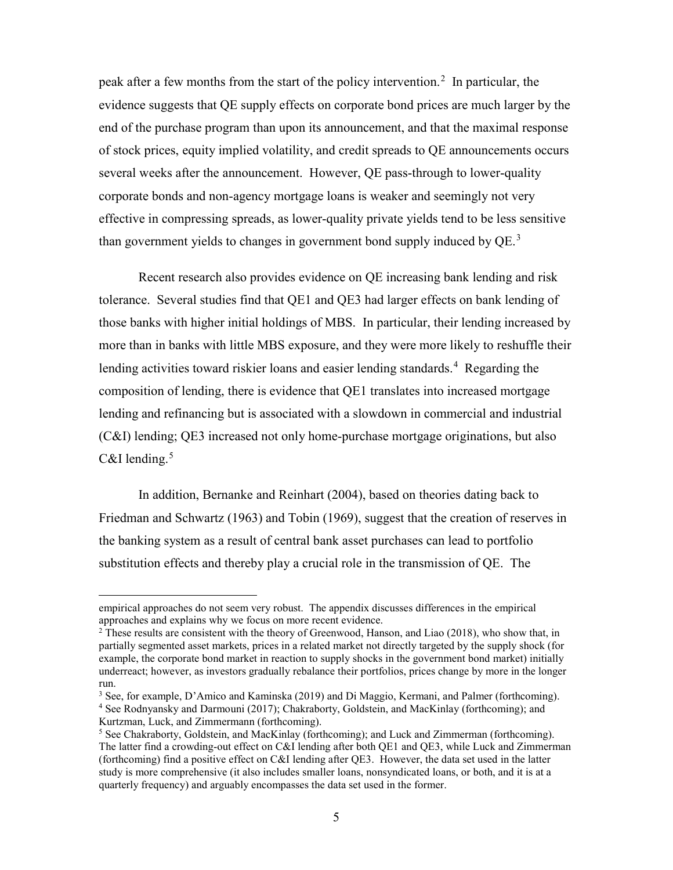peak after a few months from the start of the policy intervention.<sup>[2](#page-6-0)</sup> In particular, the evidence suggests that QE supply effects on corporate bond prices are much larger by the end of the purchase program than upon its announcement, and that the maximal response of stock prices, equity implied volatility, and credit spreads to QE announcements occurs several weeks after the announcement. However, QE pass-through to lower-quality corporate bonds and non-agency mortgage loans is weaker and seemingly not very effective in compressing spreads, as lower-quality private yields tend to be less sensitive than government yields to changes in government bond supply induced by  $QE.^3$  $QE.^3$ 

Recent research also provides evidence on QE increasing bank lending and risk tolerance. Several studies find that QE1 and QE3 had larger effects on bank lending of those banks with higher initial holdings of MBS. In particular, their lending increased by more than in banks with little MBS exposure, and they were more likely to reshuffle their lending activities toward riskier loans and easier lending standards.<sup>[4](#page-6-2)</sup> Regarding the composition of lending, there is evidence that QE1 translates into increased mortgage lending and refinancing but is associated with a slowdown in commercial and industrial (C&I) lending; QE3 increased not only home-purchase mortgage originations, but also C&I lending. $5$ 

In addition, Bernanke and Reinhart (2004), based on theories dating back to Friedman and Schwartz (1963) and Tobin (1969), suggest that the creation of reserves in the banking system as a result of central bank asset purchases can lead to portfolio substitution effects and thereby play a crucial role in the transmission of QE. The

empirical approaches do not seem very robust. The appendix discusses differences in the empirical approaches and explains why we focus on more recent evidence.

<span id="page-6-0"></span><sup>&</sup>lt;sup>2</sup> These results are consistent with the theory of Greenwood, Hanson, and Liao (2018), who show that, in partially segmented asset markets, prices in a related market not directly targeted by the supply shock (for example, the corporate bond market in reaction to supply shocks in the government bond market) initially underreact; however, as investors gradually rebalance their portfolios, prices change by more in the longer run.<br><sup>3</sup> See, for example, D'Amico and Kaminska (2019) and Di Maggio, Kermani, and Palmer (forthcoming).

<span id="page-6-2"></span><span id="page-6-1"></span><sup>&</sup>lt;sup>4</sup> See Rodnyansky and Darmouni (2017); Chakraborty, Goldstein, and MacKinlay (forthcoming); and Kurtzman, Luck, and Zimmermann (forthcoming).

<span id="page-6-3"></span><sup>&</sup>lt;sup>5</sup> See Chakraborty, Goldstein, and MacKinlay (forthcoming); and Luck and Zimmerman (forthcoming). The latter find a crowding-out effect on C&I lending after both QE1 and QE3, while Luck and Zimmerman (forthcoming) find a positive effect on C&I lending after QE3. However, the data set used in the latter study is more comprehensive (it also includes smaller loans, nonsyndicated loans, or both, and it is at a quarterly frequency) and arguably encompasses the data set used in the former.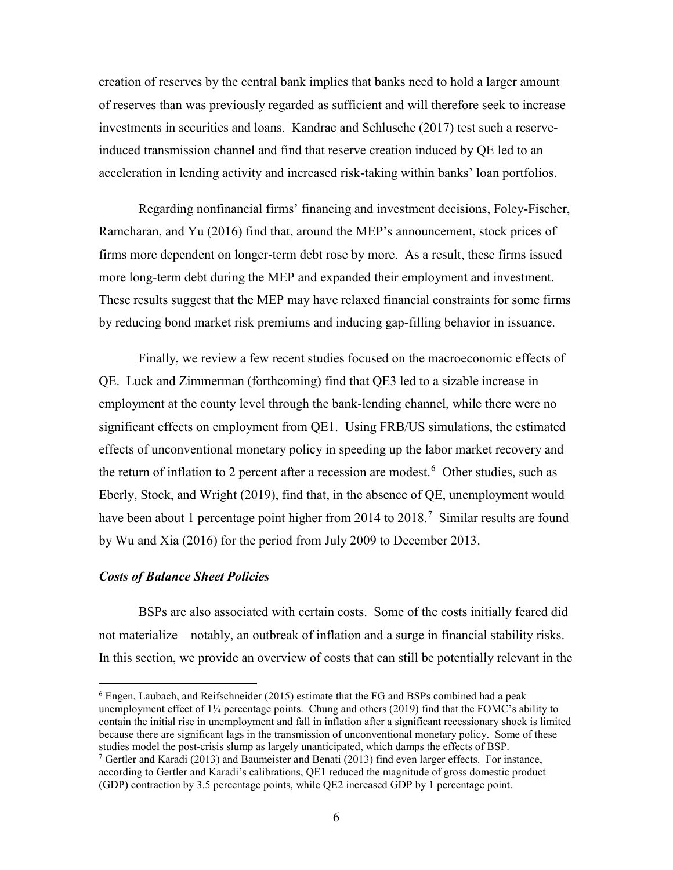creation of reserves by the central bank implies that banks need to hold a larger amount of reserves than was previously regarded as sufficient and will therefore seek to increase investments in securities and loans. Kandrac and Schlusche (2017) test such a reserveinduced transmission channel and find that reserve creation induced by QE led to an acceleration in lending activity and increased risk-taking within banks' loan portfolios.

Regarding nonfinancial firms' financing and investment decisions, Foley-Fischer, Ramcharan, and Yu (2016) find that, around the MEP's announcement, stock prices of firms more dependent on longer-term debt rose by more. As a result, these firms issued more long-term debt during the MEP and expanded their employment and investment. These results suggest that the MEP may have relaxed financial constraints for some firms by reducing bond market risk premiums and inducing gap-filling behavior in issuance.

Finally, we review a few recent studies focused on the macroeconomic effects of QE. Luck and Zimmerman (forthcoming) find that QE3 led to a sizable increase in employment at the county level through the bank-lending channel, while there were no significant effects on employment from QE1. Using FRB/US simulations, the estimated effects of unconventional monetary policy in speeding up the labor market recovery and the return of inflation to 2 percent after a recession are modest.<sup>[6](#page-7-0)</sup> Other studies, such as Eberly, Stock, and Wright (2019), find that, in the absence of QE, unemployment would have been about 1 percentage point higher from 2014 to 2018.<sup>[7](#page-7-1)</sup> Similar results are found by Wu and Xia (2016) for the period from July 2009 to December 2013.

# *Costs of Balance Sheet Policies*

BSPs are also associated with certain costs. Some of the costs initially feared did not materialize—notably, an outbreak of inflation and a surge in financial stability risks. In this section, we provide an overview of costs that can still be potentially relevant in the

<span id="page-7-0"></span> $6$  Engen, Laubach, and Reifschneider (2015) estimate that the FG and BSPs combined had a peak unemployment effect of 1¼ percentage points. Chung and others (2019) find that the FOMC's ability to contain the initial rise in unemployment and fall in inflation after a significant recessionary shock is limited because there are significant lags in the transmission of unconventional monetary policy. Some of these studies model the post-crisis slump as largely unanticipated, which damps the effects of BSP.

<span id="page-7-1"></span> $7$  Gertler and Karadi (2013) and Baumeister and Benati (2013) find even larger effects. For instance, according to Gertler and Karadi's calibrations, QE1 reduced the magnitude of gross domestic product (GDP) contraction by 3.5 percentage points, while QE2 increased GDP by 1 percentage point.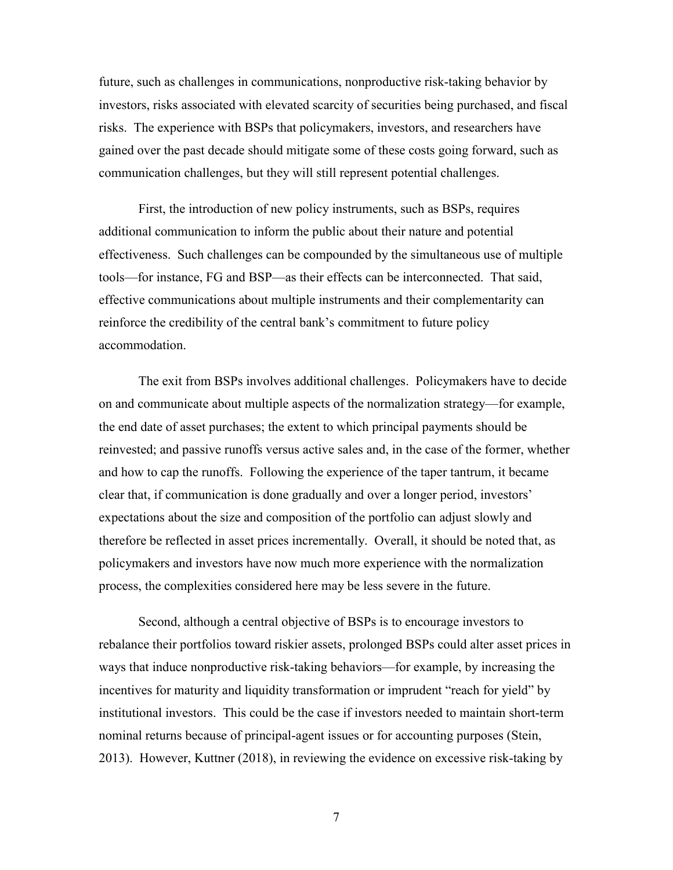future, such as challenges in communications, nonproductive risk-taking behavior by investors, risks associated with elevated scarcity of securities being purchased, and fiscal risks. The experience with BSPs that policymakers, investors, and researchers have gained over the past decade should mitigate some of these costs going forward, such as communication challenges, but they will still represent potential challenges.

First, the introduction of new policy instruments, such as BSPs, requires additional communication to inform the public about their nature and potential effectiveness. Such challenges can be compounded by the simultaneous use of multiple tools—for instance, FG and BSP—as their effects can be interconnected. That said, effective communications about multiple instruments and their complementarity can reinforce the credibility of the central bank's commitment to future policy accommodation.

The exit from BSPs involves additional challenges. Policymakers have to decide on and communicate about multiple aspects of the normalization strategy—for example, the end date of asset purchases; the extent to which principal payments should be reinvested; and passive runoffs versus active sales and, in the case of the former, whether and how to cap the runoffs. Following the experience of the taper tantrum, it became clear that, if communication is done gradually and over a longer period, investors' expectations about the size and composition of the portfolio can adjust slowly and therefore be reflected in asset prices incrementally. Overall, it should be noted that, as policymakers and investors have now much more experience with the normalization process, the complexities considered here may be less severe in the future.

Second, although a central objective of BSPs is to encourage investors to rebalance their portfolios toward riskier assets, prolonged BSPs could alter asset prices in ways that induce nonproductive risk-taking behaviors—for example, by increasing the incentives for maturity and liquidity transformation or imprudent "reach for yield" by institutional investors. This could be the case if investors needed to maintain short-term nominal returns because of principal-agent issues or for accounting purposes (Stein, 2013). However, Kuttner (2018), in reviewing the evidence on excessive risk-taking by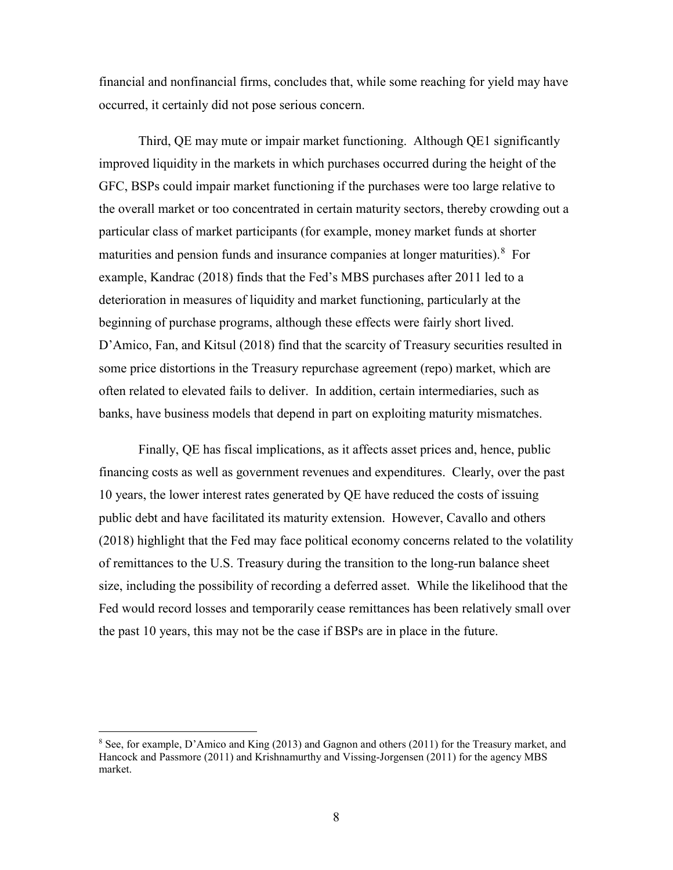financial and nonfinancial firms, concludes that, while some reaching for yield may have occurred, it certainly did not pose serious concern.

Third, QE may mute or impair market functioning. Although QE1 significantly improved liquidity in the markets in which purchases occurred during the height of the GFC, BSPs could impair market functioning if the purchases were too large relative to the overall market or too concentrated in certain maturity sectors, thereby crowding out a particular class of market participants (for example, money market funds at shorter maturities and pension funds and insurance companies at longer maturities). <sup>[8](#page-9-0)</sup> For example, Kandrac (2018) finds that the Fed's MBS purchases after 2011 led to a deterioration in measures of liquidity and market functioning, particularly at the beginning of purchase programs, although these effects were fairly short lived. D'Amico, Fan, and Kitsul (2018) find that the scarcity of Treasury securities resulted in some price distortions in the Treasury repurchase agreement (repo) market, which are often related to elevated fails to deliver. In addition, certain intermediaries, such as banks, have business models that depend in part on exploiting maturity mismatches.

Finally, QE has fiscal implications, as it affects asset prices and, hence, public financing costs as well as government revenues and expenditures. Clearly, over the past 10 years, the lower interest rates generated by QE have reduced the costs of issuing public debt and have facilitated its maturity extension. However, Cavallo and others (2018) highlight that the Fed may face political economy concerns related to the volatility of remittances to the U.S. Treasury during the transition to the long-run balance sheet size, including the possibility of recording a deferred asset. While the likelihood that the Fed would record losses and temporarily cease remittances has been relatively small over the past 10 years, this may not be the case if BSPs are in place in the future.

<span id="page-9-0"></span> <sup>8</sup> See, for example, D'Amico and King (2013) and Gagnon and others (2011) for the Treasury market, and Hancock and Passmore (2011) and Krishnamurthy and Vissing-Jorgensen (2011) for the agency MBS market.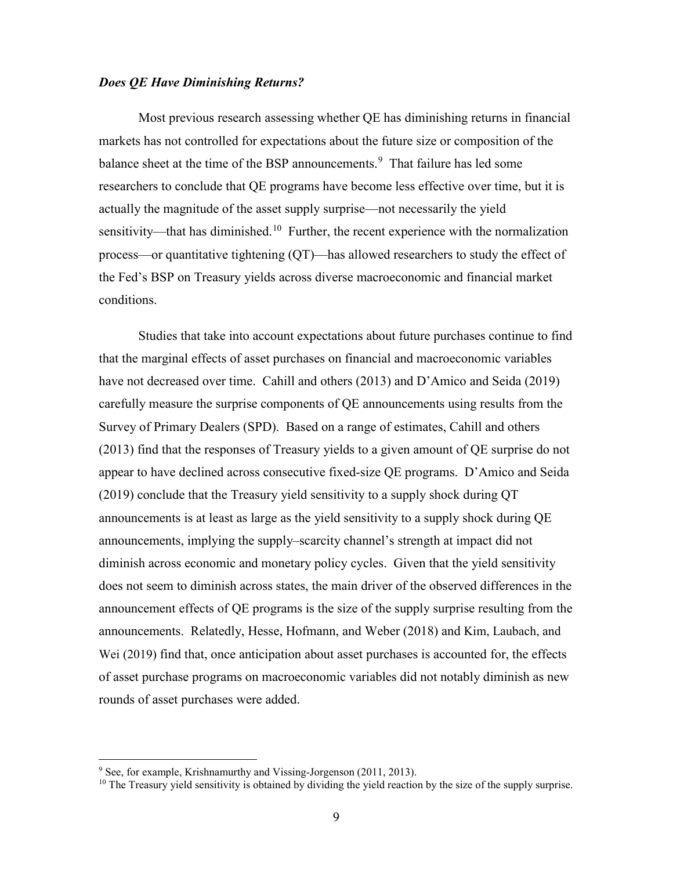# *Does QE Have Diminishing Returns?*

Most previous research assessing whether QE has diminishing returns in financial markets has not controlled for expectations about the future size or composition of the balance sheet at the time of the BSP announcements.<sup>[9](#page-10-0)</sup> That failure has led some researchers to conclude that QE programs have become less effective over time, but it is actually the magnitude of the asset supply surprise—not necessarily the yield sensitivity—that has diminished.<sup>[10](#page-10-1)</sup> Further, the recent experience with the normalization process—or quantitative tightening (QT)—has allowed researchers to study the effect of the Fed's BSP on Treasury yields across diverse macroeconomic and financial market conditions.

Studies that take into account expectations about future purchases continue to find that the marginal effects of asset purchases on financial and macroeconomic variables have not decreased over time. Cahill and others (2013) and D'Amico and Seida (2019) carefully measure the surprise components of QE announcements using results from the Survey of Primary Dealers (SPD). Based on a range of estimates, Cahill and others (2013) find that the responses of Treasury yields to a given amount of QE surprise do not appear to have declined across consecutive fixed-size QE programs. D'Amico and Seida (2019) conclude that the Treasury yield sensitivity to a supply shock during QT announcements is at least as large as the yield sensitivity to a supply shock during QE announcements, implying the supply–scarcity channel's strength at impact did not diminish across economic and monetary policy cycles. Given that the yield sensitivity does not seem to diminish across states, the main driver of the observed differences in the announcement effects of QE programs is the size of the supply surprise resulting from the announcements. Relatedly, Hesse, Hofmann, and Weber (2018) and Kim, Laubach, and Wei (2019) find that, once anticipation about asset purchases is accounted for, the effects of asset purchase programs on macroeconomic variables did not notably diminish as new rounds of asset purchases were added.

<span id="page-10-0"></span> $9$  See, for example, Krishnamurthy and Vissing-Jorgenson (2011, 2013).

<span id="page-10-1"></span> $10$  The Treasury yield sensitivity is obtained by dividing the yield reaction by the size of the supply surprise.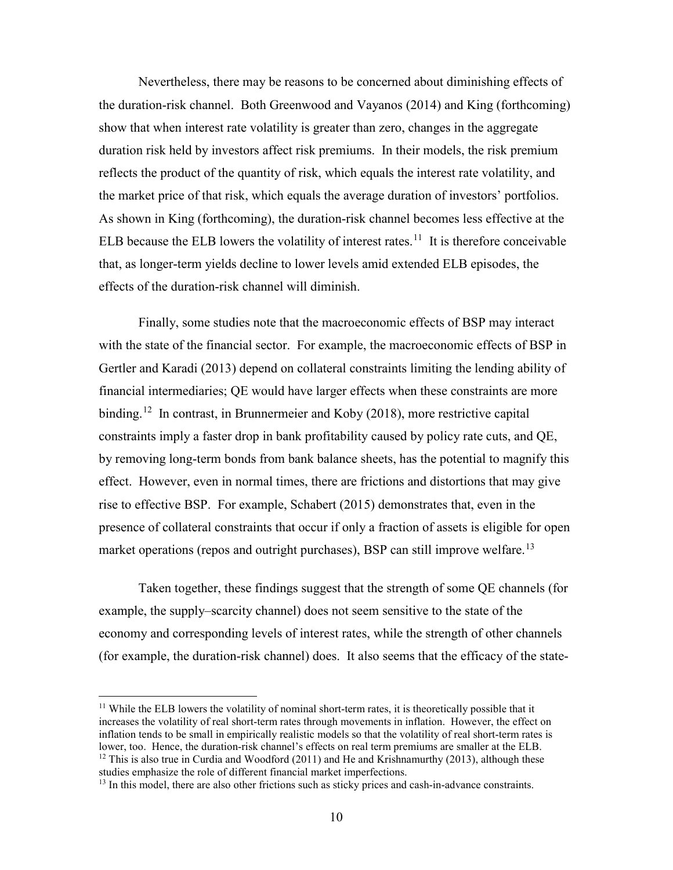Nevertheless, there may be reasons to be concerned about diminishing effects of the duration-risk channel. Both Greenwood and Vayanos (2014) and King (forthcoming) show that when interest rate volatility is greater than zero, changes in the aggregate duration risk held by investors affect risk premiums. In their models, the risk premium reflects the product of the quantity of risk, which equals the interest rate volatility, and the market price of that risk, which equals the average duration of investors' portfolios. As shown in King (forthcoming), the duration-risk channel becomes less effective at the ELB because the ELB lowers the volatility of interest rates.<sup>[11](#page-11-0)</sup> It is therefore conceivable that, as longer-term yields decline to lower levels amid extended ELB episodes, the effects of the duration-risk channel will diminish.

Finally, some studies note that the macroeconomic effects of BSP may interact with the state of the financial sector. For example, the macroeconomic effects of BSP in Gertler and Karadi (2013) depend on collateral constraints limiting the lending ability of financial intermediaries; QE would have larger effects when these constraints are more binding.<sup>[12](#page-11-1)</sup> In contrast, in Brunnermeier and Koby (2018), more restrictive capital constraints imply a faster drop in bank profitability caused by policy rate cuts, and QE, by removing long-term bonds from bank balance sheets, has the potential to magnify this effect. However, even in normal times, there are frictions and distortions that may give rise to effective BSP. For example, Schabert (2015) demonstrates that, even in the presence of collateral constraints that occur if only a fraction of assets is eligible for open market operations (repos and outright purchases), BSP can still improve welfare.<sup>13</sup>

Taken together, these findings suggest that the strength of some QE channels (for example, the supply–scarcity channel) does not seem sensitive to the state of the economy and corresponding levels of interest rates, while the strength of other channels (for example, the duration-risk channel) does. It also seems that the efficacy of the state-

<span id="page-11-0"></span> $11$  While the ELB lowers the volatility of nominal short-term rates, it is theoretically possible that it increases the volatility of real short-term rates through movements in inflation. However, the effect on inflation tends to be small in empirically realistic models so that the volatility of real short-term rates is<br>lower, too. Hence, the duration-risk channel's effects on real term premiums are smaller at the ELB. <sup>12</sup> This is also true in Curdia and Woodford (2011) and He and Krishnamurthy (2013), although these

<span id="page-11-1"></span>studies emphasize the role of different financial market imperfections.

<span id="page-11-2"></span><sup>&</sup>lt;sup>13</sup> In this model, there are also other frictions such as sticky prices and cash-in-advance constraints.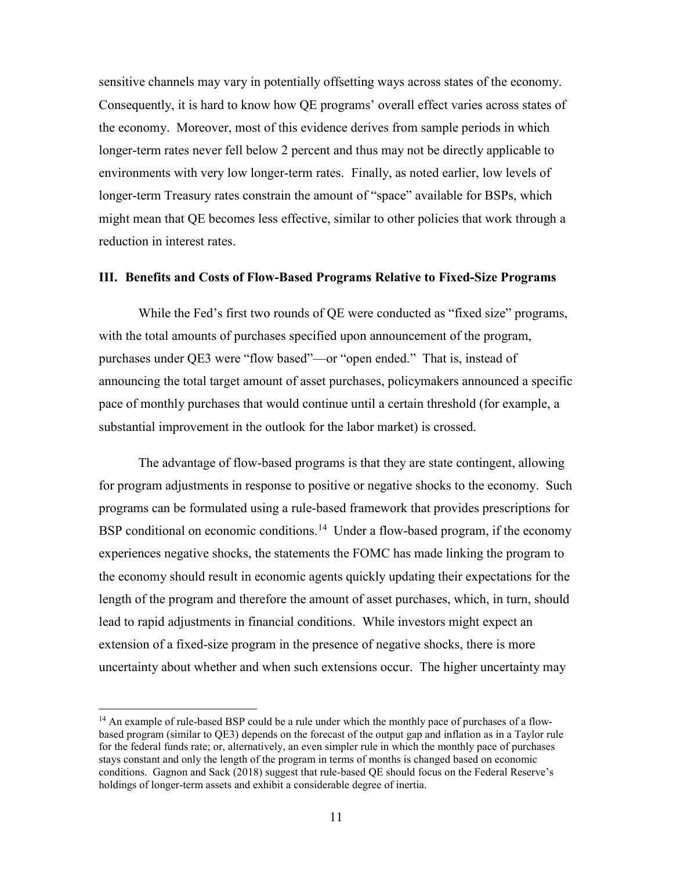sensitive channels may vary in potentially offsetting ways across states of the economy. Consequently, it is hard to know how QE programs' overall effect varies across states of the economy. Moreover, most of this evidence derives from sample periods in which longer-term rates never fell below 2 percent and thus may not be directly applicable to environments with very low longer-term rates. Finally, as noted earlier, low levels of longer-term Treasury rates constrain the amount of "space" available for BSPs, which might mean that QE becomes less effective, similar to other policies that work through a reduction in interest rates.

### **III. Benefits and Costs of Flow-Based Programs Relative to Fixed-Size Programs**

While the Fed's first two rounds of QE were conducted as "fixed size" programs, with the total amounts of purchases specified upon announcement of the program, purchases under QE3 were "flow based"—or "open ended." That is, instead of announcing the total target amount of asset purchases, policymakers announced a specific pace of monthly purchases that would continue until a certain threshold (for example, a substantial improvement in the outlook for the labor market) is crossed.

The advantage of flow-based programs is that they are state contingent, allowing for program adjustments in response to positive or negative shocks to the economy. Such programs can be formulated using a rule-based framework that provides prescriptions for BSP conditional on economic conditions.<sup>14</sup> Under a flow-based program, if the economy experiences negative shocks, the statements the FOMC has made linking the program to the economy should result in economic agents quickly updating their expectations for the length of the program and therefore the amount of asset purchases, which, in turn, should lead to rapid adjustments in financial conditions. While investors might expect an extension of a fixed-size program in the presence of negative shocks, there is more uncertainty about whether and when such extensions occur. The higher uncertainty may

<span id="page-12-0"></span><sup>&</sup>lt;sup>14</sup> An example of rule-based BSP could be a rule under which the monthly pace of purchases of a flowbased program (similar to QE3) depends on the forecast of the output gap and inflation as in a Taylor rule for the federal funds rate; or, alternatively, an even simpler rule in which the monthly pace of purchases stays constant and only the length of the program in terms of months is changed based on economic conditions. Gagnon and Sack (2018) suggest that rule-based QE should focus on the Federal Reserve's holdings of longer-term assets and exhibit a considerable degree of inertia.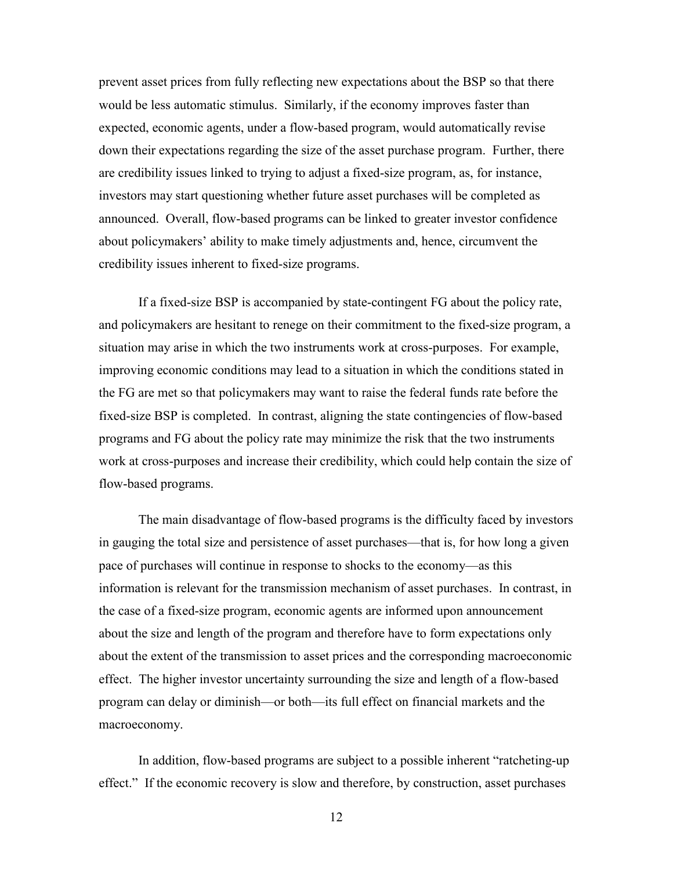prevent asset prices from fully reflecting new expectations about the BSP so that there would be less automatic stimulus. Similarly, if the economy improves faster than expected, economic agents, under a flow-based program, would automatically revise down their expectations regarding the size of the asset purchase program. Further, there are credibility issues linked to trying to adjust a fixed-size program, as, for instance, investors may start questioning whether future asset purchases will be completed as announced. Overall, flow-based programs can be linked to greater investor confidence about policymakers' ability to make timely adjustments and, hence, circumvent the credibility issues inherent to fixed-size programs.

If a fixed-size BSP is accompanied by state-contingent FG about the policy rate, and policymakers are hesitant to renege on their commitment to the fixed-size program, a situation may arise in which the two instruments work at cross-purposes. For example, improving economic conditions may lead to a situation in which the conditions stated in the FG are met so that policymakers may want to raise the federal funds rate before the fixed-size BSP is completed. In contrast, aligning the state contingencies of flow-based programs and FG about the policy rate may minimize the risk that the two instruments work at cross-purposes and increase their credibility, which could help contain the size of flow-based programs.

The main disadvantage of flow-based programs is the difficulty faced by investors in gauging the total size and persistence of asset purchases—that is, for how long a given pace of purchases will continue in response to shocks to the economy—as this information is relevant for the transmission mechanism of asset purchases. In contrast, in the case of a fixed-size program, economic agents are informed upon announcement about the size and length of the program and therefore have to form expectations only about the extent of the transmission to asset prices and the corresponding macroeconomic effect. The higher investor uncertainty surrounding the size and length of a flow-based program can delay or diminish—or both—its full effect on financial markets and the macroeconomy.

In addition, flow-based programs are subject to a possible inherent "ratcheting-up effect." If the economic recovery is slow and therefore, by construction, asset purchases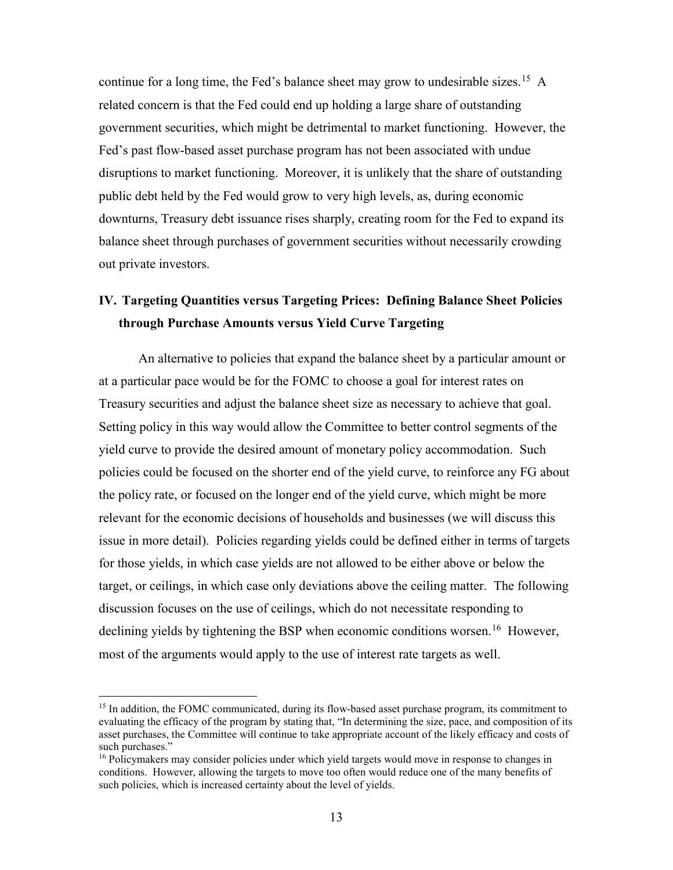continue for a long time, the Fed's balance sheet may grow to undesirable sizes.<sup>15</sup> A related concern is that the Fed could end up holding a large share of outstanding government securities, which might be detrimental to market functioning. However, the Fed's past flow-based asset purchase program has not been associated with undue disruptions to market functioning. Moreover, it is unlikely that the share of outstanding public debt held by the Fed would grow to very high levels, as, during economic downturns, Treasury debt issuance rises sharply, creating room for the Fed to expand its balance sheet through purchases of government securities without necessarily crowding out private investors.

# **IV. Targeting Quantities versus Targeting Prices: Defining Balance Sheet Policies through Purchase Amounts versus Yield Curve Targeting**

An alternative to policies that expand the balance sheet by a particular amount or at a particular pace would be for the FOMC to choose a goal for interest rates on Treasury securities and adjust the balance sheet size as necessary to achieve that goal. Setting policy in this way would allow the Committee to better control segments of the yield curve to provide the desired amount of monetary policy accommodation. Such policies could be focused on the shorter end of the yield curve, to reinforce any FG about the policy rate, or focused on the longer end of the yield curve, which might be more relevant for the economic decisions of households and businesses (we will discuss this issue in more detail). Policies regarding yields could be defined either in terms of targets for those yields, in which case yields are not allowed to be either above or below the target, or ceilings, in which case only deviations above the ceiling matter. The following discussion focuses on the use of ceilings, which do not necessitate responding to declining yields by tightening the BSP when economic conditions worsen.<sup>[16](#page-14-1)</sup> However, most of the arguments would apply to the use of interest rate targets as well.

<span id="page-14-0"></span><sup>&</sup>lt;sup>15</sup> In addition, the FOMC communicated, during its flow-based asset purchase program, its commitment to evaluating the efficacy of the program by stating that, "In determining the size, pace, and composition of its asset purchases, the Committee will continue to take appropriate account of the likely efficacy and costs of such purchases."

<span id="page-14-1"></span><sup>&</sup>lt;sup>16</sup> Policymakers may consider policies under which yield targets would move in response to changes in conditions. However, allowing the targets to move too often would reduce one of the many benefits of such policies, which is increased certainty about the level of yields.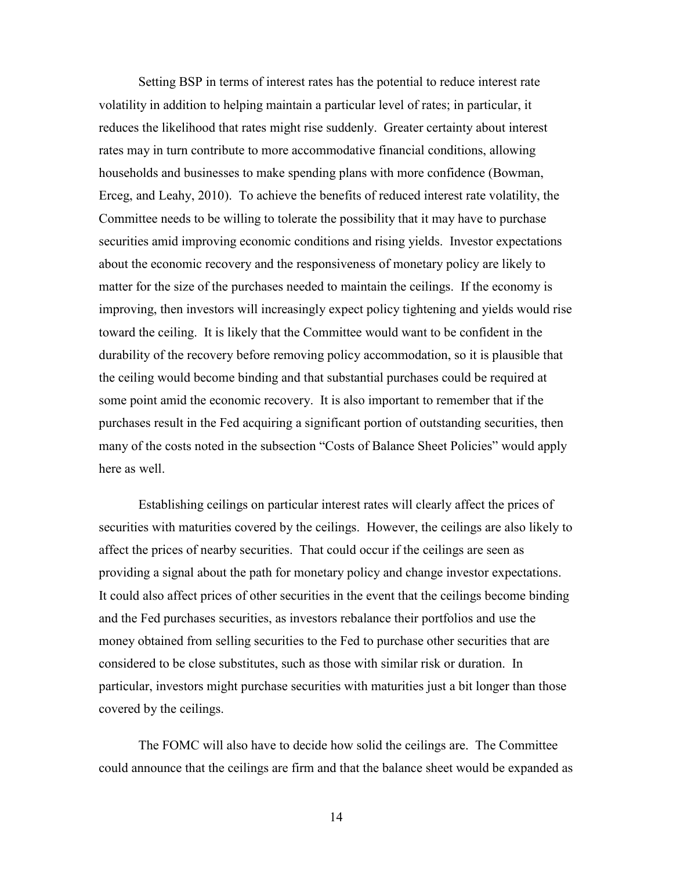Setting BSP in terms of interest rates has the potential to reduce interest rate volatility in addition to helping maintain a particular level of rates; in particular, it reduces the likelihood that rates might rise suddenly. Greater certainty about interest rates may in turn contribute to more accommodative financial conditions, allowing households and businesses to make spending plans with more confidence (Bowman, Erceg, and Leahy, 2010). To achieve the benefits of reduced interest rate volatility, the Committee needs to be willing to tolerate the possibility that it may have to purchase securities amid improving economic conditions and rising yields. Investor expectations about the economic recovery and the responsiveness of monetary policy are likely to matter for the size of the purchases needed to maintain the ceilings. If the economy is improving, then investors will increasingly expect policy tightening and yields would rise toward the ceiling. It is likely that the Committee would want to be confident in the durability of the recovery before removing policy accommodation, so it is plausible that the ceiling would become binding and that substantial purchases could be required at some point amid the economic recovery. It is also important to remember that if the purchases result in the Fed acquiring a significant portion of outstanding securities, then many of the costs noted in the subsection "Costs of Balance Sheet Policies" would apply here as well.

Establishing ceilings on particular interest rates will clearly affect the prices of securities with maturities covered by the ceilings. However, the ceilings are also likely to affect the prices of nearby securities. That could occur if the ceilings are seen as providing a signal about the path for monetary policy and change investor expectations. It could also affect prices of other securities in the event that the ceilings become binding and the Fed purchases securities, as investors rebalance their portfolios and use the money obtained from selling securities to the Fed to purchase other securities that are considered to be close substitutes, such as those with similar risk or duration. In particular, investors might purchase securities with maturities just a bit longer than those covered by the ceilings.

The FOMC will also have to decide how solid the ceilings are. The Committee could announce that the ceilings are firm and that the balance sheet would be expanded as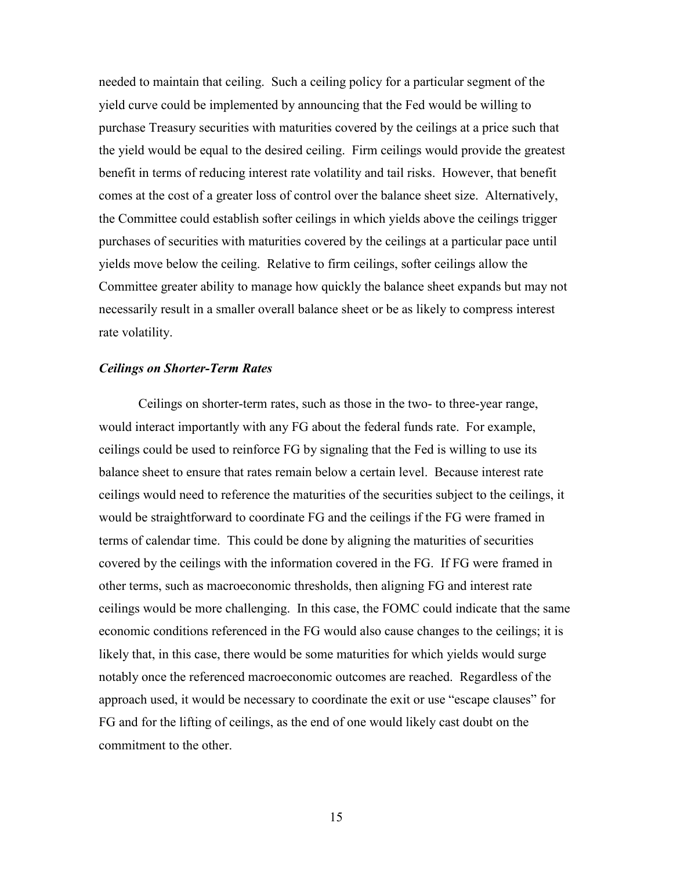needed to maintain that ceiling. Such a ceiling policy for a particular segment of the yield curve could be implemented by announcing that the Fed would be willing to purchase Treasury securities with maturities covered by the ceilings at a price such that the yield would be equal to the desired ceiling. Firm ceilings would provide the greatest benefit in terms of reducing interest rate volatility and tail risks. However, that benefit comes at the cost of a greater loss of control over the balance sheet size. Alternatively, the Committee could establish softer ceilings in which yields above the ceilings trigger purchases of securities with maturities covered by the ceilings at a particular pace until yields move below the ceiling. Relative to firm ceilings, softer ceilings allow the Committee greater ability to manage how quickly the balance sheet expands but may not necessarily result in a smaller overall balance sheet or be as likely to compress interest rate volatility.

# *Ceilings on Shorter-Term Rates*

Ceilings on shorter-term rates, such as those in the two- to three-year range, would interact importantly with any FG about the federal funds rate. For example, ceilings could be used to reinforce FG by signaling that the Fed is willing to use its balance sheet to ensure that rates remain below a certain level. Because interest rate ceilings would need to reference the maturities of the securities subject to the ceilings, it would be straightforward to coordinate FG and the ceilings if the FG were framed in terms of calendar time. This could be done by aligning the maturities of securities covered by the ceilings with the information covered in the FG. If FG were framed in other terms, such as macroeconomic thresholds, then aligning FG and interest rate ceilings would be more challenging. In this case, the FOMC could indicate that the same economic conditions referenced in the FG would also cause changes to the ceilings; it is likely that, in this case, there would be some maturities for which yields would surge notably once the referenced macroeconomic outcomes are reached. Regardless of the approach used, it would be necessary to coordinate the exit or use "escape clauses" for FG and for the lifting of ceilings, as the end of one would likely cast doubt on the commitment to the other.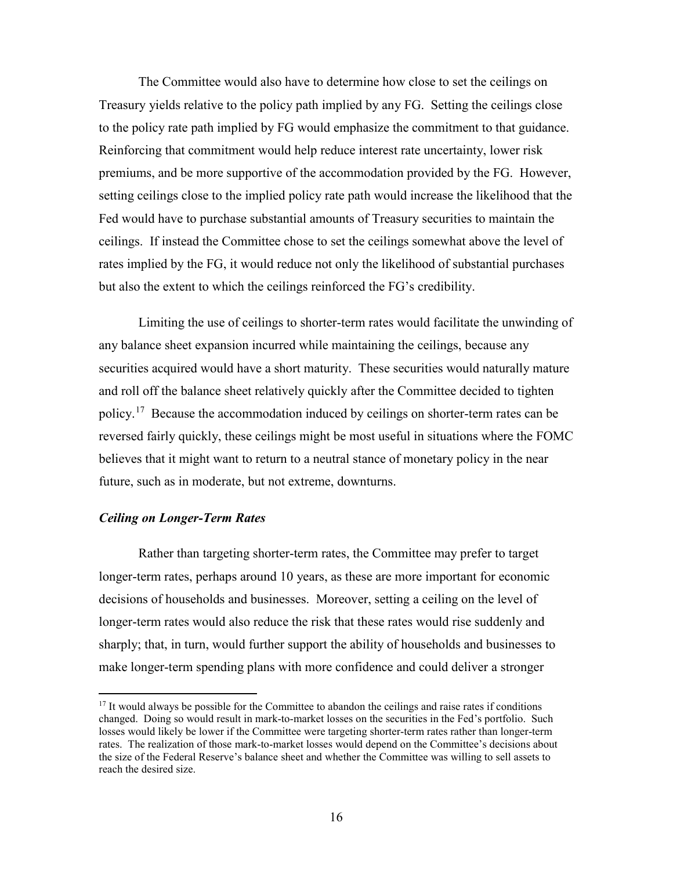The Committee would also have to determine how close to set the ceilings on Treasury yields relative to the policy path implied by any FG. Setting the ceilings close to the policy rate path implied by FG would emphasize the commitment to that guidance. Reinforcing that commitment would help reduce interest rate uncertainty, lower risk premiums, and be more supportive of the accommodation provided by the FG. However, setting ceilings close to the implied policy rate path would increase the likelihood that the Fed would have to purchase substantial amounts of Treasury securities to maintain the ceilings. If instead the Committee chose to set the ceilings somewhat above the level of rates implied by the FG, it would reduce not only the likelihood of substantial purchases but also the extent to which the ceilings reinforced the FG's credibility.

Limiting the use of ceilings to shorter-term rates would facilitate the unwinding of any balance sheet expansion incurred while maintaining the ceilings, because any securities acquired would have a short maturity. These securities would naturally mature and roll off the balance sheet relatively quickly after the Committee decided to tighten policy.<sup>17</sup> Because the accommodation induced by ceilings on shorter-term rates can be reversed fairly quickly, these ceilings might be most useful in situations where the FOMC believes that it might want to return to a neutral stance of monetary policy in the near future, such as in moderate, but not extreme, downturns.

### *Ceiling on Longer-Term Rates*

Rather than targeting shorter-term rates, the Committee may prefer to target longer-term rates, perhaps around 10 years, as these are more important for economic decisions of households and businesses. Moreover, setting a ceiling on the level of longer-term rates would also reduce the risk that these rates would rise suddenly and sharply; that, in turn, would further support the ability of households and businesses to make longer-term spending plans with more confidence and could deliver a stronger

<span id="page-17-0"></span><sup>&</sup>lt;sup>17</sup> It would always be possible for the Committee to abandon the ceilings and raise rates if conditions changed. Doing so would result in mark-to-market losses on the securities in the Fed's portfolio. Such losses would likely be lower if the Committee were targeting shorter-term rates rather than longer-term rates. The realization of those mark-to-market losses would depend on the Committee's decisions about the size of the Federal Reserve's balance sheet and whether the Committee was willing to sell assets to reach the desired size.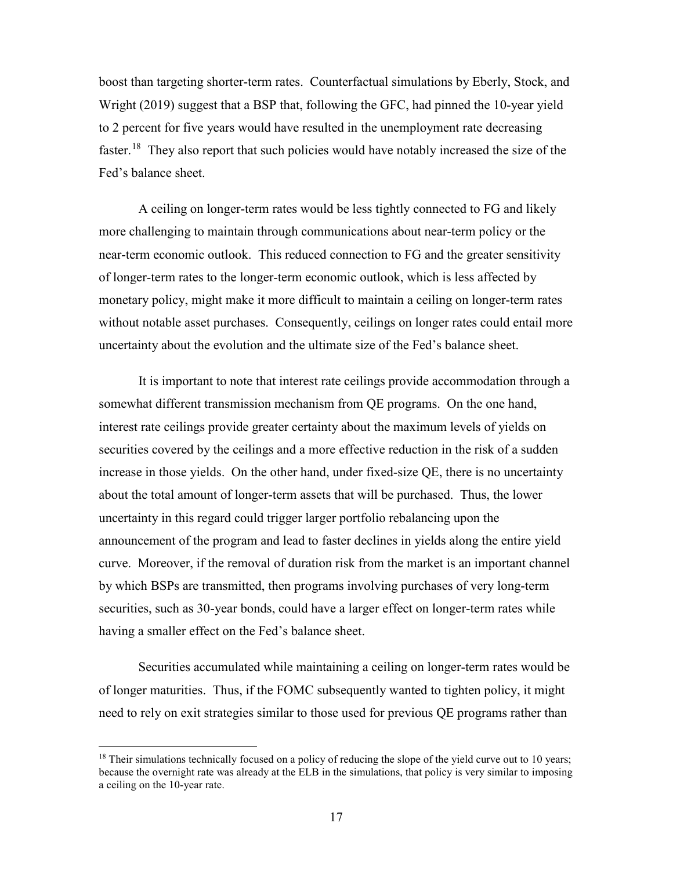boost than targeting shorter-term rates. Counterfactual simulations by Eberly, Stock, and Wright (2019) suggest that a BSP that, following the GFC, had pinned the 10-year yield to 2 percent for five years would have resulted in the unemployment rate decreasing faster.<sup>[18](#page-18-0)</sup> They also report that such policies would have notably increased the size of the Fed's balance sheet.

A ceiling on longer-term rates would be less tightly connected to FG and likely more challenging to maintain through communications about near-term policy or the near-term economic outlook. This reduced connection to FG and the greater sensitivity of longer-term rates to the longer-term economic outlook, which is less affected by monetary policy, might make it more difficult to maintain a ceiling on longer-term rates without notable asset purchases. Consequently, ceilings on longer rates could entail more uncertainty about the evolution and the ultimate size of the Fed's balance sheet.

It is important to note that interest rate ceilings provide accommodation through a somewhat different transmission mechanism from QE programs. On the one hand, interest rate ceilings provide greater certainty about the maximum levels of yields on securities covered by the ceilings and a more effective reduction in the risk of a sudden increase in those yields. On the other hand, under fixed-size QE, there is no uncertainty about the total amount of longer-term assets that will be purchased. Thus, the lower uncertainty in this regard could trigger larger portfolio rebalancing upon the announcement of the program and lead to faster declines in yields along the entire yield curve. Moreover, if the removal of duration risk from the market is an important channel by which BSPs are transmitted, then programs involving purchases of very long-term securities, such as 30-year bonds, could have a larger effect on longer-term rates while having a smaller effect on the Fed's balance sheet.

Securities accumulated while maintaining a ceiling on longer-term rates would be of longer maturities. Thus, if the FOMC subsequently wanted to tighten policy, it might need to rely on exit strategies similar to those used for previous QE programs rather than

<span id="page-18-0"></span><sup>&</sup>lt;sup>18</sup> Their simulations technically focused on a policy of reducing the slope of the yield curve out to 10 years; because the overnight rate was already at the ELB in the simulations, that policy is very similar to imposing a ceiling on the 10-year rate.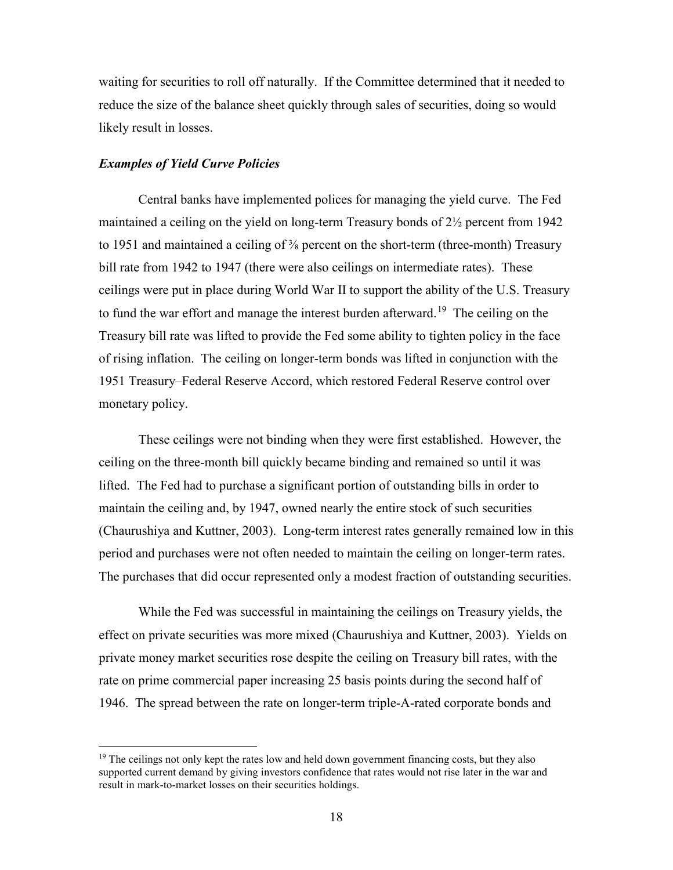waiting for securities to roll off naturally. If the Committee determined that it needed to reduce the size of the balance sheet quickly through sales of securities, doing so would likely result in losses.

### *Examples of Yield Curve Policies*

Central banks have implemented polices for managing the yield curve. The Fed maintained a ceiling on the yield on long-term Treasury bonds of 2½ percent from 1942 to 1951 and maintained a ceiling of  $\frac{3}{8}$  percent on the short-term (three-month) Treasury bill rate from 1942 to 1947 (there were also ceilings on intermediate rates). These ceilings were put in place during World War II to support the ability of the U.S. Treasury to fund the war effort and manage the interest burden afterward.<sup>[19](#page-19-0)</sup> The ceiling on the Treasury bill rate was lifted to provide the Fed some ability to tighten policy in the face of rising inflation. The ceiling on longer-term bonds was lifted in conjunction with the 1951 Treasury–Federal Reserve Accord, which restored Federal Reserve control over monetary policy.

These ceilings were not binding when they were first established. However, the ceiling on the three-month bill quickly became binding and remained so until it was lifted. The Fed had to purchase a significant portion of outstanding bills in order to maintain the ceiling and, by 1947, owned nearly the entire stock of such securities (Chaurushiya and Kuttner, 2003). Long-term interest rates generally remained low in this period and purchases were not often needed to maintain the ceiling on longer-term rates. The purchases that did occur represented only a modest fraction of outstanding securities.

While the Fed was successful in maintaining the ceilings on Treasury yields, the effect on private securities was more mixed (Chaurushiya and Kuttner, 2003). Yields on private money market securities rose despite the ceiling on Treasury bill rates, with the rate on prime commercial paper increasing 25 basis points during the second half of 1946. The spread between the rate on longer-term triple-A-rated corporate bonds and

<span id="page-19-0"></span> $19$  The ceilings not only kept the rates low and held down government financing costs, but they also supported current demand by giving investors confidence that rates would not rise later in the war and result in mark-to-market losses on their securities holdings.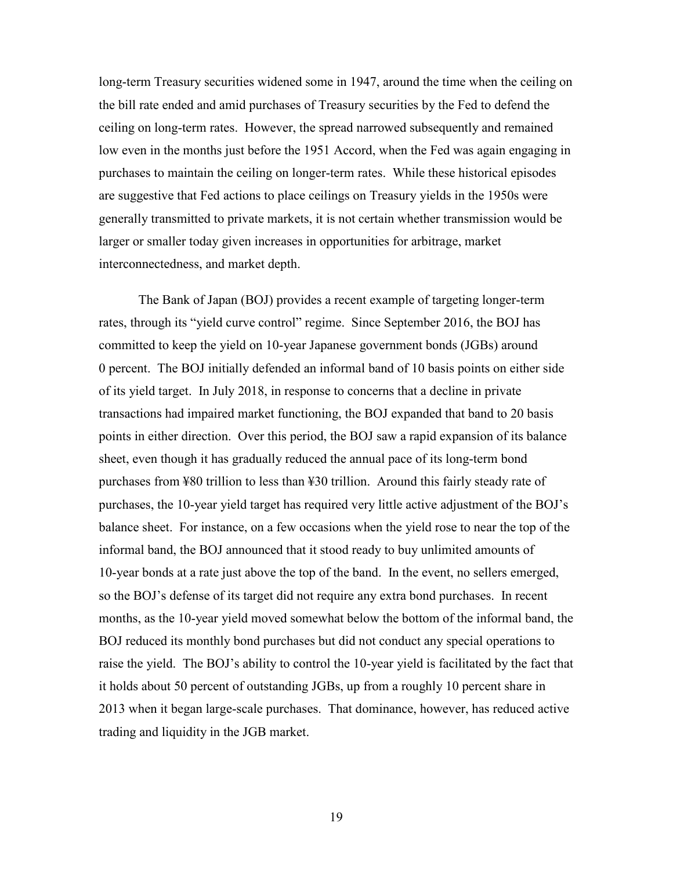long-term Treasury securities widened some in 1947, around the time when the ceiling on the bill rate ended and amid purchases of Treasury securities by the Fed to defend the ceiling on long-term rates. However, the spread narrowed subsequently and remained low even in the months just before the 1951 Accord, when the Fed was again engaging in purchases to maintain the ceiling on longer-term rates. While these historical episodes are suggestive that Fed actions to place ceilings on Treasury yields in the 1950s were generally transmitted to private markets, it is not certain whether transmission would be larger or smaller today given increases in opportunities for arbitrage, market interconnectedness, and market depth.

The Bank of Japan (BOJ) provides a recent example of targeting longer-term rates, through its "yield curve control" regime. Since September 2016, the BOJ has committed to keep the yield on 10-year Japanese government bonds (JGBs) around 0 percent. The BOJ initially defended an informal band of 10 basis points on either side of its yield target. In July 2018, in response to concerns that a decline in private transactions had impaired market functioning, the BOJ expanded that band to 20 basis points in either direction. Over this period, the BOJ saw a rapid expansion of its balance sheet, even though it has gradually reduced the annual pace of its long-term bond purchases from ¥80 trillion to less than ¥30 trillion. Around this fairly steady rate of purchases, the 10-year yield target has required very little active adjustment of the BOJ's balance sheet. For instance, on a few occasions when the yield rose to near the top of the informal band, the BOJ announced that it stood ready to buy unlimited amounts of 10-year bonds at a rate just above the top of the band. In the event, no sellers emerged, so the BOJ's defense of its target did not require any extra bond purchases. In recent months, as the 10-year yield moved somewhat below the bottom of the informal band, the BOJ reduced its monthly bond purchases but did not conduct any special operations to raise the yield. The BOJ's ability to control the 10-year yield is facilitated by the fact that it holds about 50 percent of outstanding JGBs, up from a roughly 10 percent share in 2013 when it began large-scale purchases. That dominance, however, has reduced active trading and liquidity in the JGB market.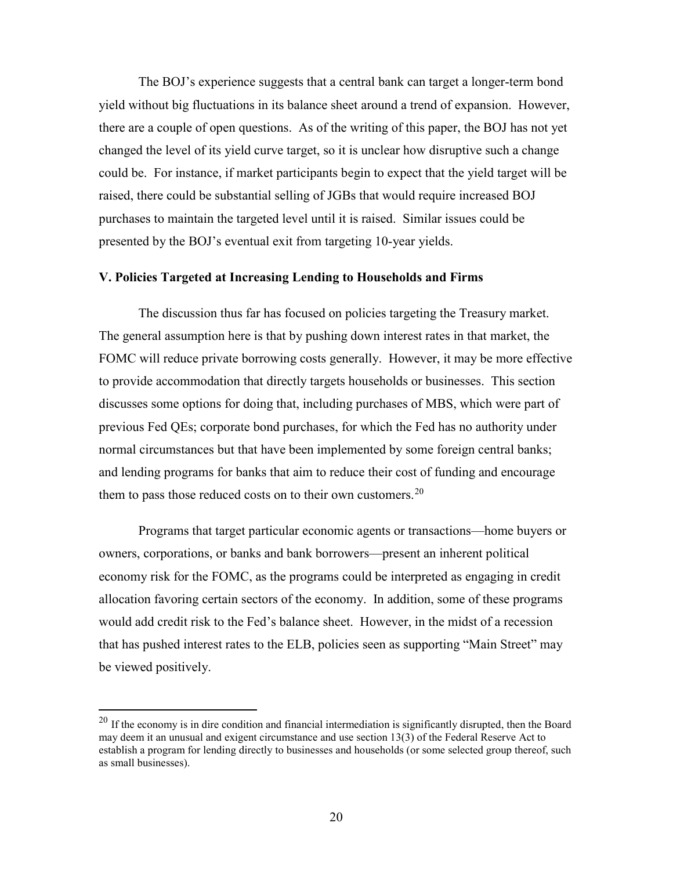The BOJ's experience suggests that a central bank can target a longer-term bond yield without big fluctuations in its balance sheet around a trend of expansion. However, there are a couple of open questions. As of the writing of this paper, the BOJ has not yet changed the level of its yield curve target, so it is unclear how disruptive such a change could be. For instance, if market participants begin to expect that the yield target will be raised, there could be substantial selling of JGBs that would require increased BOJ purchases to maintain the targeted level until it is raised. Similar issues could be presented by the BOJ's eventual exit from targeting 10-year yields.

# **V. Policies Targeted at Increasing Lending to Households and Firms**

The discussion thus far has focused on policies targeting the Treasury market. The general assumption here is that by pushing down interest rates in that market, the FOMC will reduce private borrowing costs generally. However, it may be more effective to provide accommodation that directly targets households or businesses. This section discusses some options for doing that, including purchases of MBS, which were part of previous Fed QEs; corporate bond purchases, for which the Fed has no authority under normal circumstances but that have been implemented by some foreign central banks; and lending programs for banks that aim to reduce their cost of funding and encourage them to pass those reduced costs on to their own customers.<sup>20</sup>

Programs that target particular economic agents or transactions—home buyers or owners, corporations, or banks and bank borrowers—present an inherent political economy risk for the FOMC, as the programs could be interpreted as engaging in credit allocation favoring certain sectors of the economy. In addition, some of these programs would add credit risk to the Fed's balance sheet. However, in the midst of a recession that has pushed interest rates to the ELB, policies seen as supporting "Main Street" may be viewed positively.

<span id="page-21-0"></span><sup>&</sup>lt;sup>20</sup> If the economy is in dire condition and financial intermediation is significantly disrupted, then the Board may deem it an unusual and exigent circumstance and use section 13(3) of the Federal Reserve Act to establish a program for lending directly to businesses and households (or some selected group thereof, such as small businesses).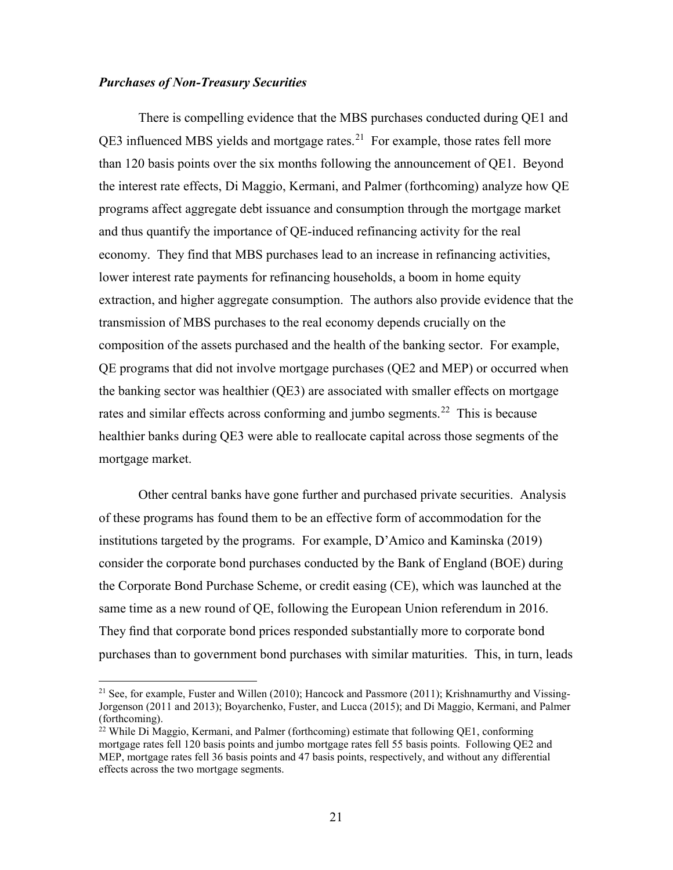### *Purchases of Non-Treasury Securities*

There is compelling evidence that the MBS purchases conducted during QE1 and  $QE3$  influenced MBS yields and mortgage rates.<sup>21</sup> For example, those rates fell more than 120 basis points over the six months following the announcement of QE1. Beyond the interest rate effects, Di Maggio, Kermani, and Palmer (forthcoming) analyze how QE programs affect aggregate debt issuance and consumption through the mortgage market and thus quantify the importance of QE-induced refinancing activity for the real economy. They find that MBS purchases lead to an increase in refinancing activities, lower interest rate payments for refinancing households, a boom in home equity extraction, and higher aggregate consumption. The authors also provide evidence that the transmission of MBS purchases to the real economy depends crucially on the composition of the assets purchased and the health of the banking sector. For example, QE programs that did not involve mortgage purchases (QE2 and MEP) or occurred when the banking sector was healthier (QE3) are associated with smaller effects on mortgage rates and similar effects across conforming and jumbo segments.<sup>[22](#page-22-1)</sup> This is because healthier banks during QE3 were able to reallocate capital across those segments of the mortgage market.

Other central banks have gone further and purchased private securities. Analysis of these programs has found them to be an effective form of accommodation for the institutions targeted by the programs. For example, D'Amico and Kaminska (2019) consider the corporate bond purchases conducted by the Bank of England (BOE) during the Corporate Bond Purchase Scheme, or credit easing (CE), which was launched at the same time as a new round of QE, following the European Union referendum in 2016. They find that corporate bond prices responded substantially more to corporate bond purchases than to government bond purchases with similar maturities. This, in turn, leads

<span id="page-22-0"></span><sup>&</sup>lt;sup>21</sup> See, for example, Fuster and Willen (2010); Hancock and Passmore (2011); Krishnamurthy and Vissing-Jorgenson (2011 and 2013); Boyarchenko, Fuster, and Lucca (2015); and Di Maggio, Kermani, and Palmer (forthcoming).

<span id="page-22-1"></span><sup>&</sup>lt;sup>22</sup> While Di Maggio, Kermani, and Palmer (forthcoming) estimate that following QE1, conforming mortgage rates fell 120 basis points and jumbo mortgage rates fell 55 basis points. Following QE2 and MEP, mortgage rates fell 36 basis points and 47 basis points, respectively, and without any differential effects across the two mortgage segments.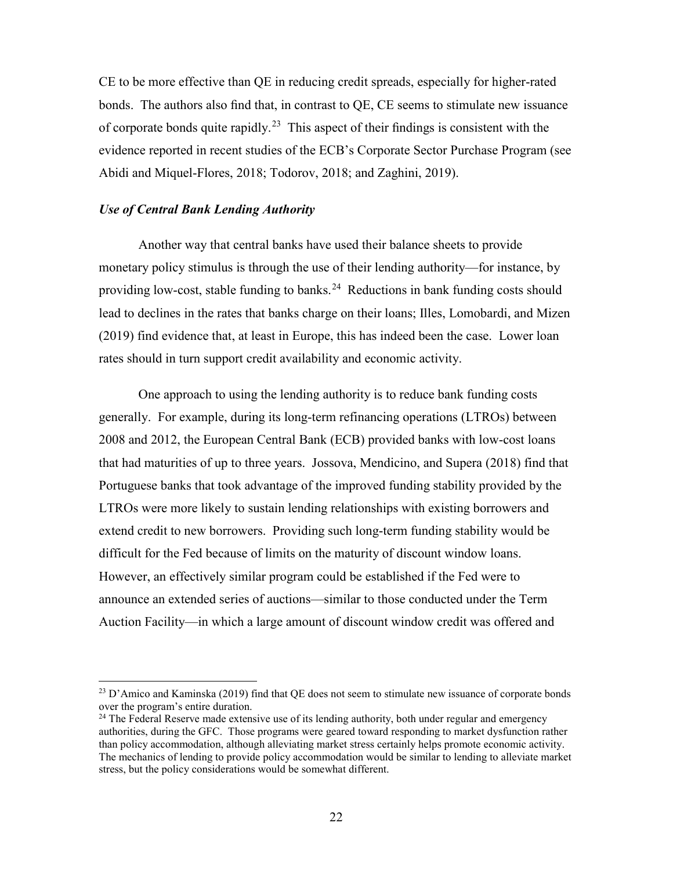CE to be more effective than QE in reducing credit spreads, especially for higher-rated bonds. The authors also find that, in contrast to QE, CE seems to stimulate new issuance of corporate bonds quite rapidly.<sup>23</sup> This aspect of their findings is consistent with the evidence reported in recent studies of the ECB's Corporate Sector Purchase Program (see Abidi and Miquel-Flores, 2018; Todorov, 2018; and Zaghini, 2019).

# *Use of Central Bank Lending Authority*

Another way that central banks have used their balance sheets to provide monetary policy stimulus is through the use of their lending authority—for instance, by providing low-cost, stable funding to banks.<sup>[24](#page-23-1)</sup> Reductions in bank funding costs should lead to declines in the rates that banks charge on their loans; Illes, Lomobardi, and Mizen (2019) find evidence that, at least in Europe, this has indeed been the case. Lower loan rates should in turn support credit availability and economic activity.

One approach to using the lending authority is to reduce bank funding costs generally. For example, during its long-term refinancing operations (LTROs) between 2008 and 2012, the European Central Bank (ECB) provided banks with low-cost loans that had maturities of up to three years. Jossova, Mendicino, and Supera (2018) find that Portuguese banks that took advantage of the improved funding stability provided by the LTROs were more likely to sustain lending relationships with existing borrowers and extend credit to new borrowers. Providing such long-term funding stability would be difficult for the Fed because of limits on the maturity of discount window loans. However, an effectively similar program could be established if the Fed were to announce an extended series of auctions—similar to those conducted under the Term Auction Facility—in which a large amount of discount window credit was offered and

<span id="page-23-0"></span> $^{23}$  D'Amico and Kaminska (2019) find that QE does not seem to stimulate new issuance of corporate bonds over the program's entire duration.

<span id="page-23-1"></span> $24$  The Federal Reserve made extensive use of its lending authority, both under regular and emergency authorities, during the GFC. Those programs were geared toward responding to market dysfunction rather than policy accommodation, although alleviating market stress certainly helps promote economic activity. The mechanics of lending to provide policy accommodation would be similar to lending to alleviate market stress, but the policy considerations would be somewhat different.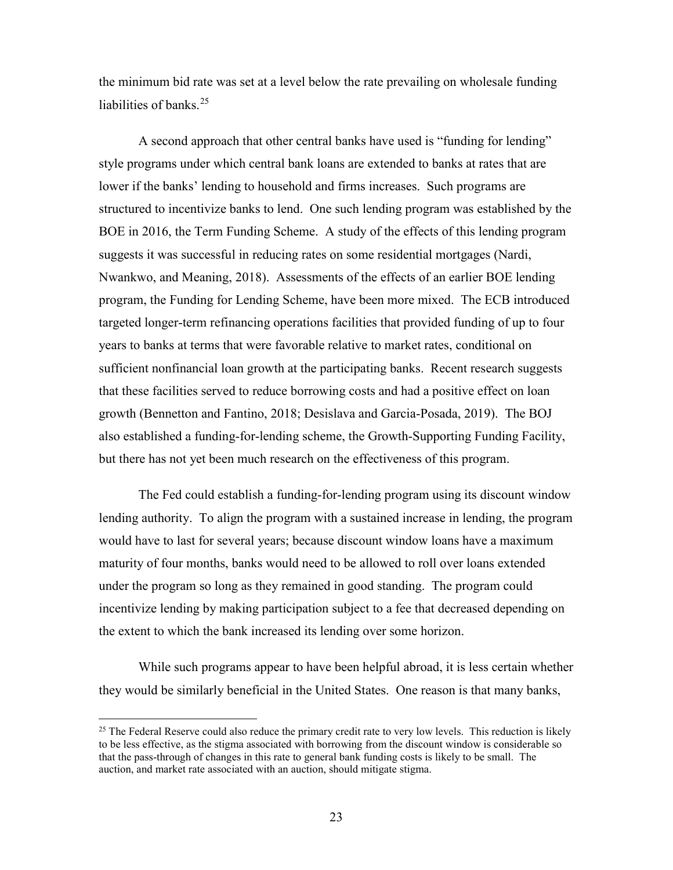the minimum bid rate was set at a level below the rate prevailing on wholesale funding liabilities of banks.<sup>[25](#page-24-0)</sup>

A second approach that other central banks have used is "funding for lending" style programs under which central bank loans are extended to banks at rates that are lower if the banks' lending to household and firms increases. Such programs are structured to incentivize banks to lend. One such lending program was established by the BOE in 2016, the Term Funding Scheme. A study of the effects of this lending program suggests it was successful in reducing rates on some residential mortgages (Nardi, Nwankwo, and Meaning, 2018). Assessments of the effects of an earlier BOE lending program, the Funding for Lending Scheme, have been more mixed. The ECB introduced targeted longer-term refinancing operations facilities that provided funding of up to four years to banks at terms that were favorable relative to market rates, conditional on sufficient nonfinancial loan growth at the participating banks. Recent research suggests that these facilities served to reduce borrowing costs and had a positive effect on loan growth (Bennetton and Fantino, 2018; Desislava and Garcia-Posada, 2019). The BOJ also established a funding-for-lending scheme, the Growth-Supporting Funding Facility, but there has not yet been much research on the effectiveness of this program.

The Fed could establish a funding-for-lending program using its discount window lending authority. To align the program with a sustained increase in lending, the program would have to last for several years; because discount window loans have a maximum maturity of four months, banks would need to be allowed to roll over loans extended under the program so long as they remained in good standing. The program could incentivize lending by making participation subject to a fee that decreased depending on the extent to which the bank increased its lending over some horizon.

While such programs appear to have been helpful abroad, it is less certain whether they would be similarly beneficial in the United States. One reason is that many banks,

<span id="page-24-0"></span> $25$  The Federal Reserve could also reduce the primary credit rate to very low levels. This reduction is likely to be less effective, as the stigma associated with borrowing from the discount window is considerable so that the pass-through of changes in this rate to general bank funding costs is likely to be small. The auction, and market rate associated with an auction, should mitigate stigma.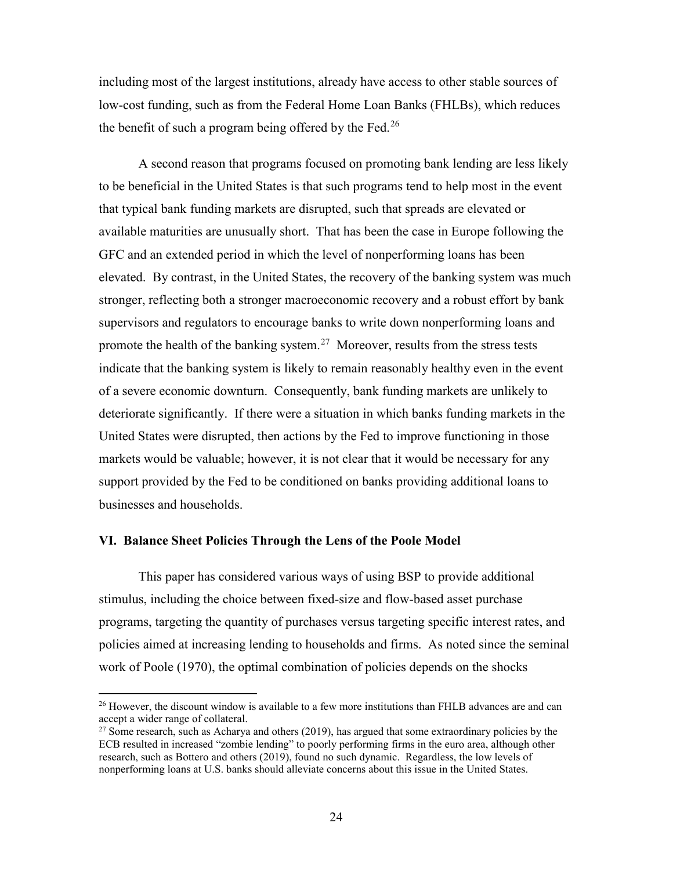including most of the largest institutions, already have access to other stable sources of low-cost funding, such as from the Federal Home Loan Banks (FHLBs), which reduces the benefit of such a program being offered by the Fed.<sup>26</sup>

A second reason that programs focused on promoting bank lending are less likely to be beneficial in the United States is that such programs tend to help most in the event that typical bank funding markets are disrupted, such that spreads are elevated or available maturities are unusually short. That has been the case in Europe following the GFC and an extended period in which the level of nonperforming loans has been elevated. By contrast, in the United States, the recovery of the banking system was much stronger, reflecting both a stronger macroeconomic recovery and a robust effort by bank supervisors and regulators to encourage banks to write down nonperforming loans and promote the health of the banking system.<sup>[27](#page-25-1)</sup> Moreover, results from the stress tests indicate that the banking system is likely to remain reasonably healthy even in the event of a severe economic downturn. Consequently, bank funding markets are unlikely to deteriorate significantly. If there were a situation in which banks funding markets in the United States were disrupted, then actions by the Fed to improve functioning in those markets would be valuable; however, it is not clear that it would be necessary for any support provided by the Fed to be conditioned on banks providing additional loans to businesses and households.

### **VI. Balance Sheet Policies Through the Lens of the Poole Model**

This paper has considered various ways of using BSP to provide additional stimulus, including the choice between fixed-size and flow-based asset purchase programs, targeting the quantity of purchases versus targeting specific interest rates, and policies aimed at increasing lending to households and firms. As noted since the seminal work of Poole (1970), the optimal combination of policies depends on the shocks

<span id="page-25-0"></span> $^{26}$  However, the discount window is available to a few more institutions than FHLB advances are and can accept a wider range of collateral.<br><sup>27</sup> Some research, such as Acharya and others (2019), has argued that some extraordinary policies by the

<span id="page-25-1"></span>ECB resulted in increased "zombie lending" to poorly performing firms in the euro area, although other research, such as Bottero and others (2019), found no such dynamic. Regardless, the low levels of nonperforming loans at U.S. banks should alleviate concerns about this issue in the United States.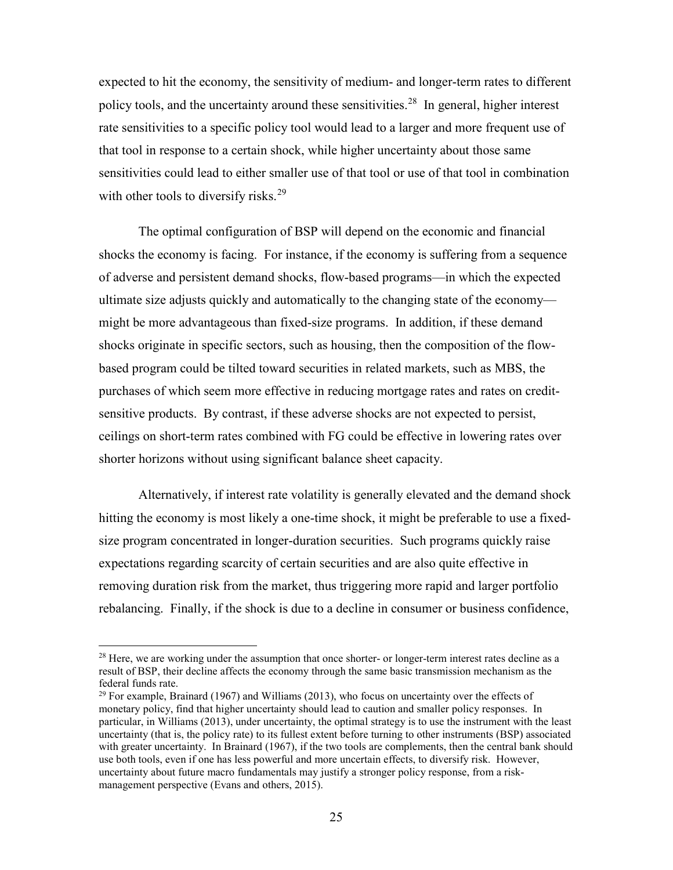expected to hit the economy, the sensitivity of medium- and longer-term rates to different policy tools, and the uncertainty around these sensitivities.<sup>28</sup> In general, higher interest rate sensitivities to a specific policy tool would lead to a larger and more frequent use of that tool in response to a certain shock, while higher uncertainty about those same sensitivities could lead to either smaller use of that tool or use of that tool in combination with other tools to diversify risks.<sup>[29](#page-26-1)</sup>

The optimal configuration of BSP will depend on the economic and financial shocks the economy is facing. For instance, if the economy is suffering from a sequence of adverse and persistent demand shocks, flow-based programs—in which the expected ultimate size adjusts quickly and automatically to the changing state of the economy might be more advantageous than fixed-size programs. In addition, if these demand shocks originate in specific sectors, such as housing, then the composition of the flowbased program could be tilted toward securities in related markets, such as MBS, the purchases of which seem more effective in reducing mortgage rates and rates on creditsensitive products. By contrast, if these adverse shocks are not expected to persist, ceilings on short-term rates combined with FG could be effective in lowering rates over shorter horizons without using significant balance sheet capacity.

Alternatively, if interest rate volatility is generally elevated and the demand shock hitting the economy is most likely a one-time shock, it might be preferable to use a fixedsize program concentrated in longer-duration securities. Such programs quickly raise expectations regarding scarcity of certain securities and are also quite effective in removing duration risk from the market, thus triggering more rapid and larger portfolio rebalancing. Finally, if the shock is due to a decline in consumer or business confidence,

<span id="page-26-0"></span> $28$  Here, we are working under the assumption that once shorter- or longer-term interest rates decline as a result of BSP, their decline affects the economy through the same basic transmission mechanism as the federal funds rate.

<span id="page-26-1"></span><sup>&</sup>lt;sup>29</sup> For example, Brainard (1967) and Williams (2013), who focus on uncertainty over the effects of monetary policy, find that higher uncertainty should lead to caution and smaller policy responses. In particular, in Williams (2013), under uncertainty, the optimal strategy is to use the instrument with the least uncertainty (that is, the policy rate) to its fullest extent before turning to other instruments (BSP) associated with greater uncertainty. In Brainard (1967), if the two tools are complements, then the central bank should use both tools, even if one has less powerful and more uncertain effects, to diversify risk. However, uncertainty about future macro fundamentals may justify a stronger policy response, from a riskmanagement perspective (Evans and others, 2015).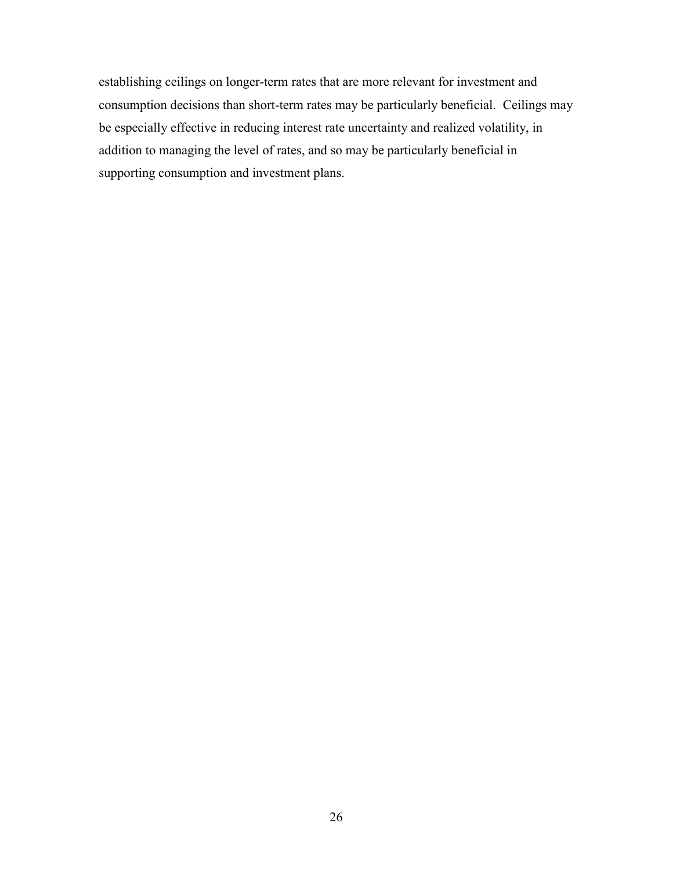establishing ceilings on longer-term rates that are more relevant for investment and consumption decisions than short-term rates may be particularly beneficial. Ceilings may be especially effective in reducing interest rate uncertainty and realized volatility, in addition to managing the level of rates, and so may be particularly beneficial in supporting consumption and investment plans.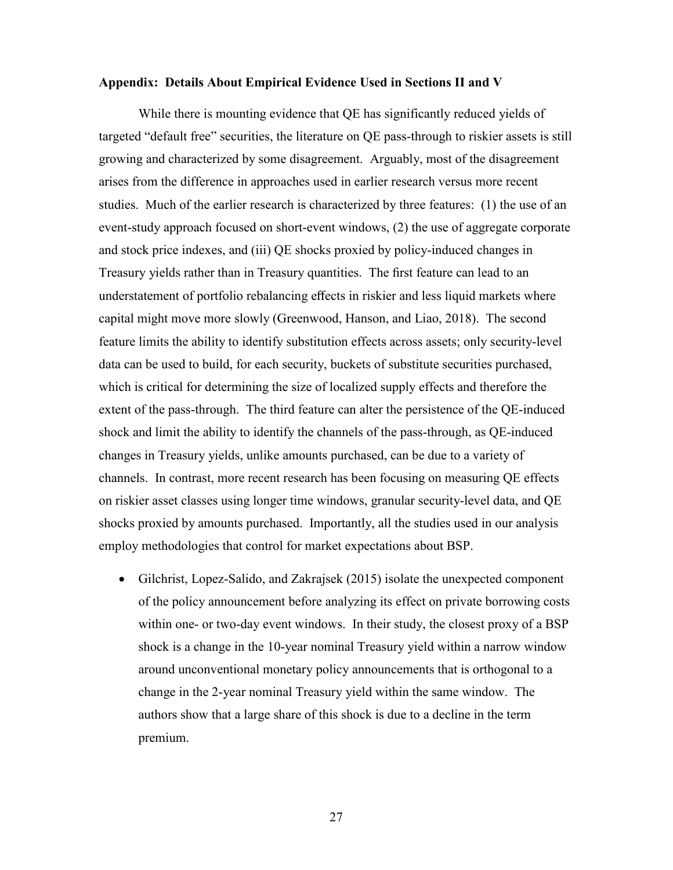### **Appendix: Details About Empirical Evidence Used in Sections II and V**

While there is mounting evidence that QE has significantly reduced yields of targeted "default free" securities, the literature on QE pass-through to riskier assets is still growing and characterized by some disagreement. Arguably, most of the disagreement arises from the difference in approaches used in earlier research versus more recent studies. Much of the earlier research is characterized by three features: (1) the use of an event-study approach focused on short-event windows, (2) the use of aggregate corporate and stock price indexes, and (iii) QE shocks proxied by policy-induced changes in Treasury yields rather than in Treasury quantities. The first feature can lead to an understatement of portfolio rebalancing effects in riskier and less liquid markets where capital might move more slowly (Greenwood, Hanson, and Liao, 2018). The second feature limits the ability to identify substitution effects across assets; only security-level data can be used to build, for each security, buckets of substitute securities purchased, which is critical for determining the size of localized supply effects and therefore the extent of the pass-through. The third feature can alter the persistence of the QE-induced shock and limit the ability to identify the channels of the pass-through, as QE-induced changes in Treasury yields, unlike amounts purchased, can be due to a variety of channels. In contrast, more recent research has been focusing on measuring QE effects on riskier asset classes using longer time windows, granular security-level data, and QE shocks proxied by amounts purchased. Importantly, all the studies used in our analysis employ methodologies that control for market expectations about BSP.

• Gilchrist, Lopez-Salido, and Zakrajsek (2015) isolate the unexpected component of the policy announcement before analyzing its effect on private borrowing costs within one- or two-day event windows. In their study, the closest proxy of a BSP shock is a change in the 10-year nominal Treasury yield within a narrow window around unconventional monetary policy announcements that is orthogonal to a change in the 2-year nominal Treasury yield within the same window. The authors show that a large share of this shock is due to a decline in the term premium.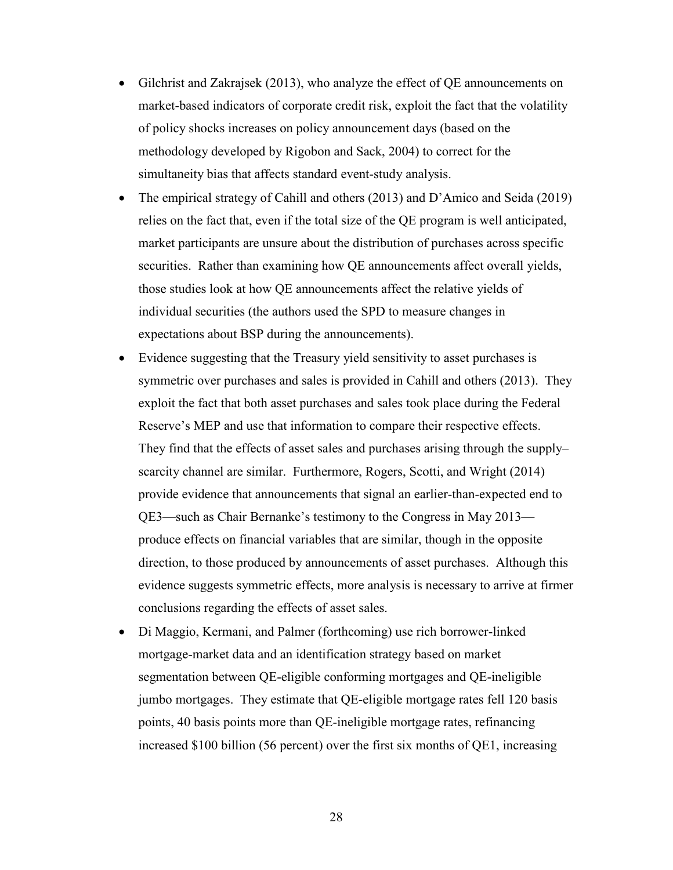- Gilchrist and Zakrajsek (2013), who analyze the effect of QE announcements on market-based indicators of corporate credit risk, exploit the fact that the volatility of policy shocks increases on policy announcement days (based on the methodology developed by Rigobon and Sack, 2004) to correct for the simultaneity bias that affects standard event-study analysis.
- The empirical strategy of Cahill and others (2013) and D'Amico and Seida (2019) relies on the fact that, even if the total size of the QE program is well anticipated, market participants are unsure about the distribution of purchases across specific securities. Rather than examining how QE announcements affect overall yields, those studies look at how QE announcements affect the relative yields of individual securities (the authors used the SPD to measure changes in expectations about BSP during the announcements).
- Evidence suggesting that the Treasury yield sensitivity to asset purchases is symmetric over purchases and sales is provided in Cahill and others (2013). They exploit the fact that both asset purchases and sales took place during the Federal Reserve's MEP and use that information to compare their respective effects. They find that the effects of asset sales and purchases arising through the supply– scarcity channel are similar. Furthermore, Rogers, Scotti, and Wright (2014) provide evidence that announcements that signal an earlier-than-expected end to QE3—such as Chair Bernanke's testimony to the Congress in May 2013 produce effects on financial variables that are similar, though in the opposite direction, to those produced by announcements of asset purchases. Although this evidence suggests symmetric effects, more analysis is necessary to arrive at firmer conclusions regarding the effects of asset sales.
- Di Maggio, Kermani, and Palmer (forthcoming) use rich borrower-linked mortgage-market data and an identification strategy based on market segmentation between QE-eligible conforming mortgages and QE-ineligible jumbo mortgages. They estimate that QE-eligible mortgage rates fell 120 basis points, 40 basis points more than QE-ineligible mortgage rates, refinancing increased \$100 billion (56 percent) over the first six months of QE1, increasing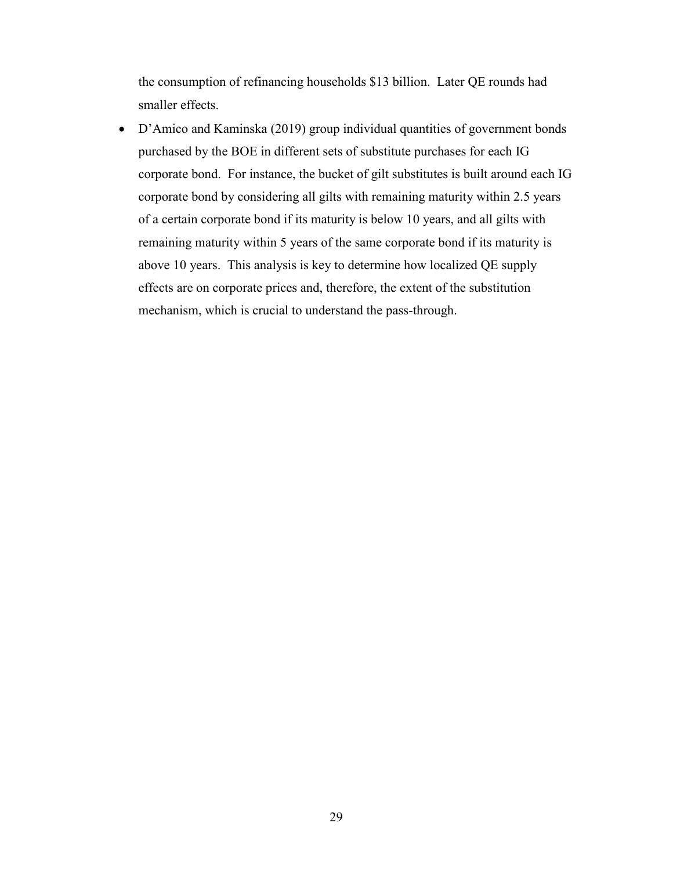the consumption of refinancing households \$13 billion. Later QE rounds had smaller effects.

• D'Amico and Kaminska (2019) group individual quantities of government bonds purchased by the BOE in different sets of substitute purchases for each IG corporate bond. For instance, the bucket of gilt substitutes is built around each IG corporate bond by considering all gilts with remaining maturity within 2.5 years of a certain corporate bond if its maturity is below 10 years, and all gilts with remaining maturity within 5 years of the same corporate bond if its maturity is above 10 years. This analysis is key to determine how localized QE supply effects are on corporate prices and, therefore, the extent of the substitution mechanism, which is crucial to understand the pass-through.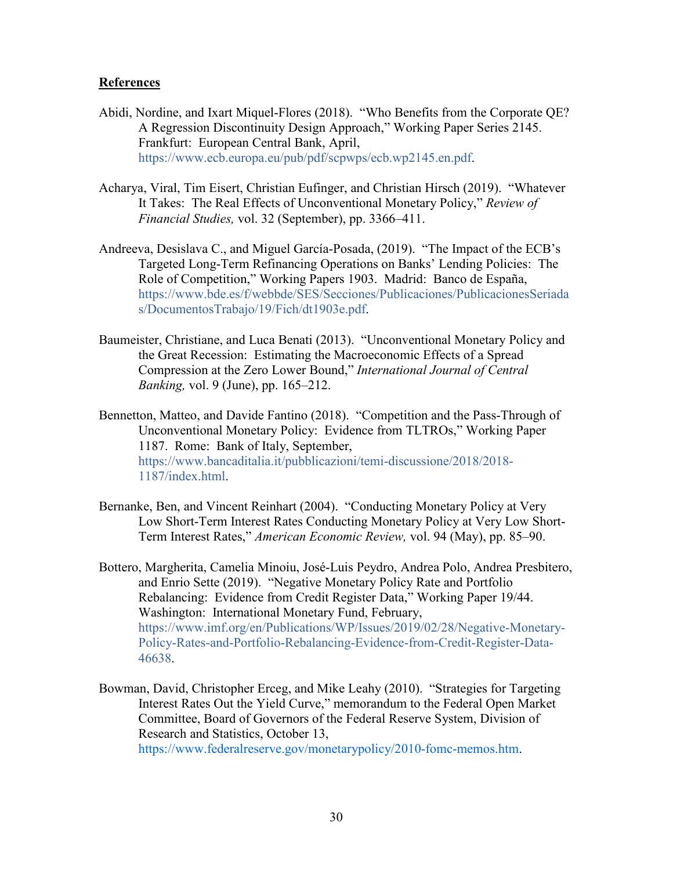# **References**

- Abidi, Nordine, and Ixart Miquel-Flores (2018). "Who Benefits from the Corporate QE? A Regression Discontinuity Design Approach," Working Paper Series 2145. Frankfurt: European Central Bank, April, [https://www.ecb.europa.eu/pub/pdf/scpwps/ecb.wp2145.en.pdf.](https://www.ecb.europa.eu/pub/pdf/scpwps/ecb.wp2145.en.pdf)
- Acharya, Viral, Tim Eisert, Christian Eufinger, and Christian Hirsch (2019). "Whatever It Takes: The Real Effects of Unconventional Monetary Policy," *Review of Financial Studies,* vol. 32 (September), pp. 3366–411.
- Andreeva, Desislava C., and Miguel García-Posada, (2019). "The Impact of the ECB's Targeted Long-Term Refinancing Operations on Banks' Lending Policies: The Role of Competition," Working Papers 1903. Madrid: Banco de España, [https://www.bde.es/f/webbde/SES/Secciones/Publicaciones/PublicacionesSeriada](https://www.bde.es/f/webbde/SES/Secciones/Publicaciones/PublicacionesSeriadas/DocumentosTrabajo/19/Fich/dt1903e.pdf) [s/DocumentosTrabajo/19/Fich/dt1903e.pdf.](https://www.bde.es/f/webbde/SES/Secciones/Publicaciones/PublicacionesSeriadas/DocumentosTrabajo/19/Fich/dt1903e.pdf)
- Baumeister, Christiane, and Luca Benati (2013). "Unconventional Monetary Policy and the Great Recession: Estimating the Macroeconomic Effects of a Spread Compression at the Zero Lower Bound," *International Journal of Central Banking,* vol. 9 (June), pp. 165–212.
- Bennetton, Matteo, and Davide Fantino (2018). "Competition and the Pass-Through of Unconventional Monetary Policy: Evidence from TLTROs," Working Paper 1187. Rome: Bank of Italy, September, [https://www.bancaditalia.it/pubblicazioni/temi-discussione/2018/2018-](https://www.bancaditalia.it/pubblicazioni/temi-discussione/2018/2018-1187/index.html) [1187/index.html.](https://www.bancaditalia.it/pubblicazioni/temi-discussione/2018/2018-1187/index.html)
- Bernanke, Ben, and Vincent Reinhart (2004). "Conducting Monetary Policy at Very Low Short-Term Interest Rates Conducting Monetary Policy at Very Low Short-Term Interest Rates," *American Economic Review,* vol. 94 (May), pp. 85–90.
- Bottero, Margherita, Camelia Minoiu, José-Luis Peydro, Andrea Polo, Andrea Presbitero, and Enrio Sette (2019). "Negative Monetary Policy Rate and Portfolio Rebalancing: Evidence from Credit Register Data," Working Paper 19/44. Washington: International Monetary Fund, February, [https://www.imf.org/en/Publications/WP/Issues/2019/02/28/Negative-Monetary-](https://www.imf.org/en/Publications/WP/Issues/2019/02/28/Negative-Monetary-Policy-Rates-and-Portfolio-Rebalancing-Evidence-from-Credit-Register-Data-46638)[Policy-Rates-and-Portfolio-Rebalancing-Evidence-from-Credit-Register-Data-](https://www.imf.org/en/Publications/WP/Issues/2019/02/28/Negative-Monetary-Policy-Rates-and-Portfolio-Rebalancing-Evidence-from-Credit-Register-Data-46638)[46638.](https://www.imf.org/en/Publications/WP/Issues/2019/02/28/Negative-Monetary-Policy-Rates-and-Portfolio-Rebalancing-Evidence-from-Credit-Register-Data-46638)
- Bowman, David, Christopher Erceg, and Mike Leahy (2010). "Strategies for Targeting Interest Rates Out the Yield Curve," memorandum to the Federal Open Market Committee, Board of Governors of the Federal Reserve System, Division of Research and Statistics, October 13,

[https://www.federalreserve.gov/monetarypolicy/2010-fomc-memos.htm.](https://www.federalreserve.gov/monetarypolicy/2010-fomc-memos.htm)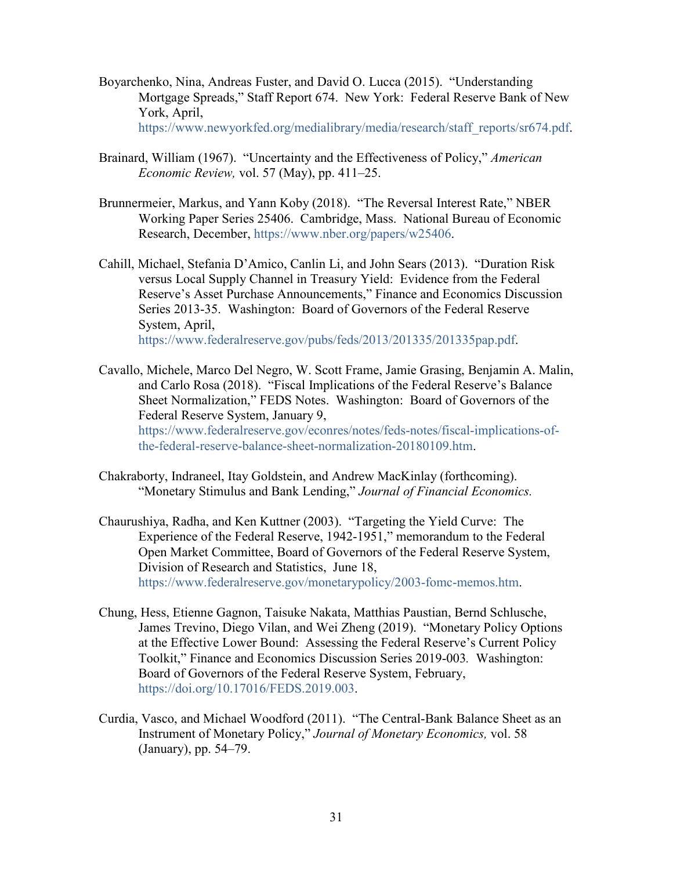- Boyarchenko, Nina, Andreas Fuster, and David O. Lucca (2015). "Understanding Mortgage Spreads," Staff Report 674. New York: Federal Reserve Bank of New York, April, [https://www.newyorkfed.org/medialibrary/media/research/staff\\_reports/sr674.pdf.](https://www.newyorkfed.org/medialibrary/media/research/staff_reports/sr674.pdf)
- Brainard, William (1967). "Uncertainty and the Effectiveness of Policy," *American Economic Review,* vol. 57 (May), pp. 411–25.
- Brunnermeier, Markus, and Yann Koby (2018). "The Reversal Interest Rate," NBER Working Paper Series 25406. Cambridge, Mass. National Bureau of Economic Research, December, [https://www.nber.org/papers/w25406.](https://www.nber.org/papers/w25406)
- Cahill, Michael, Stefania D'Amico, Canlin Li, and John Sears (2013). "Duration Risk versus Local Supply Channel in Treasury Yield: Evidence from the Federal Reserve's Asset Purchase Announcements," Finance and Economics Discussion Series 2013-35. Washington: Board of Governors of the Federal Reserve System, April, [https://www.federalreserve.gov/pubs/feds/2013/201335/201335pap.pdf.](https://www.federalreserve.gov/pubs/feds/2013/201335/201335pap.pdf)
- Cavallo, Michele, Marco Del Negro, W. Scott Frame, Jamie Grasing, Benjamin A. Malin, and Carlo Rosa (2018). "Fiscal Implications of the Federal Reserve's Balance Sheet Normalization," FEDS Notes. Washington: Board of Governors of the Federal Reserve System, January 9, [https://www.federalreserve.gov/econres/notes/feds-notes/fiscal-implications-of](https://www.federalreserve.gov/econres/notes/feds-notes/fiscal-implications-of-the-federal-reserve-balance-sheet-normalization-20180109.htm)[the-federal-reserve-balance-sheet-normalization-20180109.htm.](https://www.federalreserve.gov/econres/notes/feds-notes/fiscal-implications-of-the-federal-reserve-balance-sheet-normalization-20180109.htm)
- Chakraborty, Indraneel, Itay Goldstein, and Andrew MacKinlay (forthcoming). "Monetary Stimulus and Bank Lending," *Journal of Financial Economics.*
- Chaurushiya, Radha, and Ken Kuttner (2003). "Targeting the Yield Curve: The Experience of the Federal Reserve, 1942-1951," memorandum to the Federal Open Market Committee, Board of Governors of the Federal Reserve System, Division of Research and Statistics, June 18, [https://www.federalreserve.gov/monetarypolicy/2003-fomc-memos.htm.](https://www.federalreserve.gov/monetarypolicy/2003-fomc-memos.htm)
- Chung, Hess, Etienne Gagnon, Taisuke Nakata, Matthias Paustian, Bernd Schlusche, James Trevino, Diego Vilan, and Wei Zheng (2019). "Monetary Policy Options at the Effective Lower Bound: Assessing the Federal Reserve's Current Policy Toolkit," Finance and Economics Discussion Series 2019-003*.* Washington: Board of Governors of the Federal Reserve System, February, [https://doi.org/10.17016/FEDS.2019.003.](https://doi.org/10.17016/FEDS.2019.003)
- Curdia, Vasco, and Michael Woodford (2011). "The Central-Bank Balance Sheet as an Instrument of Monetary Policy," *Journal of Monetary Economics,* vol. 58 (January), pp. 54–79.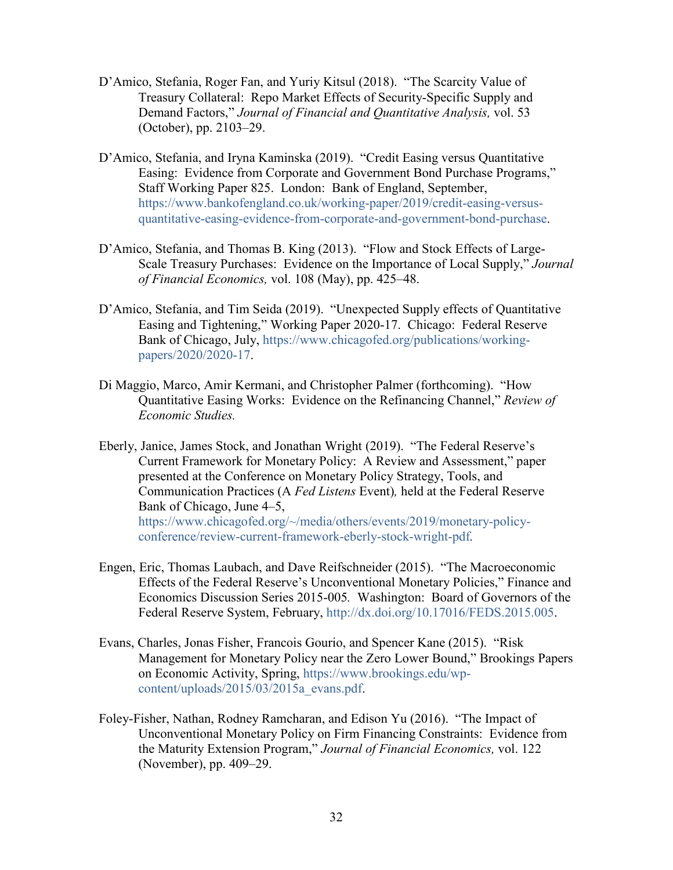- D'Amico, Stefania, Roger Fan, and Yuriy Kitsul (2018). "The Scarcity Value of Treasury Collateral: Repo Market Effects of Security-Specific Supply and Demand Factors," *Journal of Financial and Quantitative Analysis,* vol. 53 (October), pp. 2103–29.
- D'Amico, Stefania, and Iryna Kaminska (2019). "Credit Easing versus Quantitative Easing: Evidence from Corporate and Government Bond Purchase Programs," Staff Working Paper 825. London: Bank of England, September, [https://www.bankofengland.co.uk/working-paper/2019/credit-easing-versus](https://www.bankofengland.co.uk/working-paper/2019/credit-easing-versus-quantitative-easing-evidence-from-corporate-and-government-bond-purchase)[quantitative-easing-evidence-from-corporate-and-government-bond-purchase.](https://www.bankofengland.co.uk/working-paper/2019/credit-easing-versus-quantitative-easing-evidence-from-corporate-and-government-bond-purchase)
- D'Amico, Stefania, and Thomas B. King (2013). "Flow and Stock Effects of Large-Scale Treasury Purchases: Evidence on the Importance of Local Supply," *Journal of Financial Economics,* vol. 108 (May), pp. 425–48.
- D'Amico, Stefania, and Tim Seida (2019). "Unexpected Supply effects of Quantitative Easing and Tightening," Working Paper 2020-17. Chicago: Federal Reserve Bank of Chicago, July, [https://www.chicagofed.org/publications/working](https://www.chicagofed.org/publications/working-papers/2020/2020-17)[papers/2020/2020-17.](https://www.chicagofed.org/publications/working-papers/2020/2020-17)
- Di Maggio, Marco, Amir Kermani, and Christopher Palmer (forthcoming). "How Quantitative Easing Works: Evidence on the Refinancing Channel," *Review of Economic Studies.*
- Eberly, Janice, James Stock, and Jonathan Wright (2019). "The Federal Reserve's Current Framework for Monetary Policy: A Review and Assessment," paper presented at the Conference on Monetary Policy Strategy, Tools, and Communication Practices (A *Fed Listens* Event)*,* held at the Federal Reserve Bank of Chicago, June 4–5, [https://www.chicagofed.org/~/media/others/events/2019/monetary-policy](https://www.chicagofed.org/%7E/media/others/events/2019/monetary-policy-conference/review-current-framework-eberly-stock-wright-pdf)[conference/review-current-framework-eberly-stock-wright-pdf](https://www.chicagofed.org/%7E/media/others/events/2019/monetary-policy-conference/review-current-framework-eberly-stock-wright-pdf)*.*
- Engen, Eric, Thomas Laubach, and Dave Reifschneider (2015). "The Macroeconomic Effects of the Federal Reserve's Unconventional Monetary Policies," Finance and Economics Discussion Series 2015-005*.* Washington: Board of Governors of the Federal Reserve System, February, [http://dx.doi.org/10.17016/FEDS.2015.005.](http://dx.doi.org/10.17016/FEDS.2015.005)
- Evans, Charles, Jonas Fisher, Francois Gourio, and Spencer Kane (2015). "Risk Management for Monetary Policy near the Zero Lower Bound," Brookings Papers on Economic Activity, Spring, [https://www.brookings.edu/wp](https://www.brookings.edu/wp-content/uploads/2015/03/2015a_evans.pdf)[content/uploads/2015/03/2015a\\_evans.pdf.](https://www.brookings.edu/wp-content/uploads/2015/03/2015a_evans.pdf)
- [Foley-Fisher,](https://www.sciencedirect.com/science/article/pii/S0304405X16301234#!) Nathan, [Rodney Ramcharan,](https://www.sciencedirect.com/science/article/pii/S0304405X16301234#!) and [Edison](https://www.sciencedirect.com/science/article/pii/S0304405X16301234#!) Yu (2016). "The Impact of Unconventional Monetary Policy on Firm Financing Constraints: Evidence from the Maturity Extension Program," *Journal of Financial Economics,* [vol. 122](https://www.sciencedirect.com/science/journal/0304405X/122/2) [\(November\),](https://www.sciencedirect.com/science/journal/0304405X/122/2) pp. 409–29.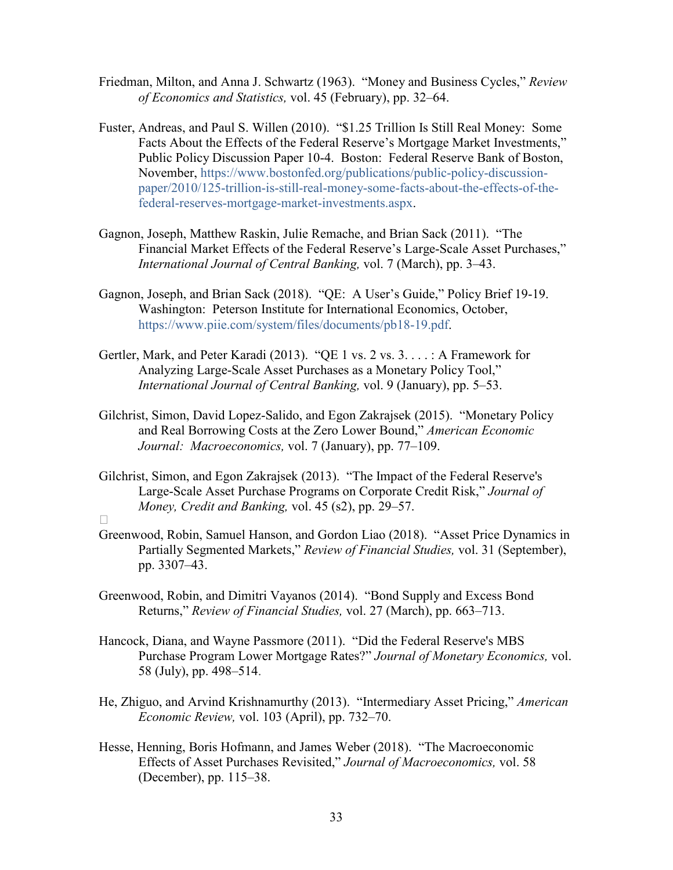- Friedman, Milton, and Anna J. Schwartz (1963). "Money and Business Cycles," *Review of Economics and Statistics,* vol. 45 (February), pp. 32–64.
- Fuster, Andreas, and Paul S. Willen (2010). "\$1.25 Trillion Is Still Real Money: Some Facts About the Effects of the Federal Reserve's Mortgage Market Investments," Public Policy Discussion Paper 10-4. Boston: Federal Reserve Bank of Boston, November, [https://www.bostonfed.org/publications/public-policy-discussion](https://www.bostonfed.org/publications/public-policy-discussion-paper/2010/125-trillion-is-still-real-money-some-facts-about-the-effects-of-the-federal-reserves-mortgage-market-investments.aspx)[paper/2010/125-trillion-is-still-real-money-some-facts-about-the-effects-of-the](https://www.bostonfed.org/publications/public-policy-discussion-paper/2010/125-trillion-is-still-real-money-some-facts-about-the-effects-of-the-federal-reserves-mortgage-market-investments.aspx)[federal-reserves-mortgage-market-investments.aspx.](https://www.bostonfed.org/publications/public-policy-discussion-paper/2010/125-trillion-is-still-real-money-some-facts-about-the-effects-of-the-federal-reserves-mortgage-market-investments.aspx)
- Gagnon, Joseph, Matthew Raskin, Julie Remache, and Brian Sack (2011). "The Financial Market Effects of the Federal Reserve's Large-Scale Asset Purchases," *International Journal of Central Banking,* vol. 7 (March), pp. 3–43.
- Gagnon, Joseph, and Brian Sack (2018). "QE: A User's Guide," Policy Brief 19-19. Washington: Peterson Institute for International Economics, October, [https://www.piie.com/system/files/documents/pb18-19.pdf.](https://www.piie.com/system/files/documents/pb18-19.pdf)
- Gertler, Mark, and Peter Karadi (2013). "QE 1 vs. 2 vs. 3. . . . : A Framework for Analyzing Large-Scale Asset Purchases as a Monetary Policy Tool," *International Journal of Central Banking,* vol. 9 (January), pp. 5–53.
- Gilchrist, Simon, David Lopez-Salido, and Egon Zakrajsek (2015). "Monetary Policy and Real Borrowing Costs at the Zero Lower Bound," *American Economic Journal: Macroeconomics,* vol. 7 (January), pp. 77–109.
- Gilchrist, Simon, and Egon Zakrajsek (2013). "The Impact of the Federal Reserve's Large-Scale Asset Purchase Programs on Corporate Credit Risk," *Journal of Money, Credit and Banking,* vol. 45 (s2), pp. 29–57.
- $\Box$
- Greenwood, Robin, Samuel Hanson, and Gordon Liao (2018). "Asset Price Dynamics in Partially Segmented Markets," *Review of Financial Studies,* vol. 31 (September), pp. 3307–43.
- Greenwood, Robin, and Dimitri Vayanos (2014). "Bond Supply and Excess Bond Returns," *Review of Financial Studies,* vol. 27 (March), pp. 663–713.
- Hancock, Diana, and Wayne Passmore (2011). ["Did the Federal Reserve's MBS](https://ideas.repec.org/a/eee/moneco/v58y2011i5p498-514.html)  [Purchase Program Lower Mortgage Rates?"](https://ideas.repec.org/a/eee/moneco/v58y2011i5p498-514.html) *[Journal of Monetary Economics,](https://ideas.repec.org/s/eee/moneco.html)* vol. 58 (July), pp. 498–514.
- He, Zhiguo, and Arvind Krishnamurthy (2013). "Intermediary Asset Pricing," *American Economic Review,* vol. 103 (April), pp. 732–70.
- Hesse, Henning, Boris Hofmann, and James Weber (2018). "The Macroeconomic Effects of Asset Purchases Revisited," *Journal of Macroeconomics,* vol. 58 (December), pp. 115–38.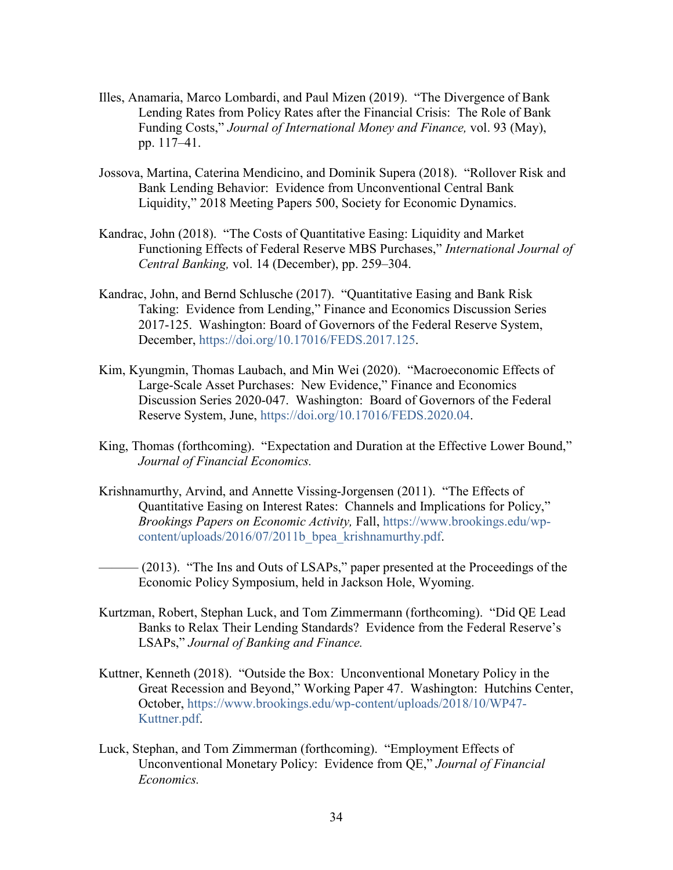- Illes, Anamaria, Marco Lombardi, and Paul Mizen (2019). "The Divergence of Bank Lending Rates from Policy Rates after the Financial Crisis: The Role of Bank Funding Costs," *Journal of International Money and Finance,* vol. 93 (May), pp. 117–41.
- Jossova, Martina, Caterina Mendicino, and Dominik Supera (2018). "Rollover Risk and Bank Lending Behavior: Evidence from Unconventional Central Bank Liquidity," 2018 Meeting Papers 500, Society for Economic Dynamics.
- Kandrac, John (2018). "The Costs of Quantitative Easing: Liquidity and Market Functioning Effects of Federal Reserve MBS Purchases," *International Journal of Central Banking,* vol. 14 (December), pp. 259–304.
- Kandrac, John, and Bernd Schlusche (2017). ["Quantitative Easing and Bank Risk](https://www.federalreserve.gov/econres/feds/files/2017125pap.pdf)  [Taking: Evidence from Lending,](https://www.federalreserve.gov/econres/feds/files/2017125pap.pdf)" Finance and Economics Discussion Series 2017-125. Washington: Board of Governors of the Federal Reserve System, December, [https://doi.org/10.17016/FEDS.2017.125.](https://doi.org/10.17016/FEDS.2017.125)
- Kim, Kyungmin, Thomas Laubach, and Min Wei (2020). "Macroeconomic Effects of Large-Scale Asset Purchases: New Evidence," Finance and Economics Discussion Series 2020-047. Washington: Board of Governors of the Federal Reserve System, June, [https://doi.org/10.17016/FEDS.2020.04.](https://doi.org/10.17016/FEDS.2020.047)
- King, Thomas (forthcoming). ["Expectation and Duration at the Effective Lower Bound,](https://www.sciencedirect.com/science/article/pii/S0304405X19301230)" *Journal of Financial Economics.*
- Krishnamurthy, Arvind, and Annette Vissing-Jorgensen (2011). "The Effects of Quantitative Easing on Interest Rates: Channels and Implications for Policy," *Brookings Papers on Economic Activity,* Fall, [https://www.brookings.edu/wp](https://www.brookings.edu/wp-content/uploads/2016/07/2011b_bpea_krishnamurthy.pdf)[content/uploads/2016/07/2011b\\_bpea\\_krishnamurthy.pdf.](https://www.brookings.edu/wp-content/uploads/2016/07/2011b_bpea_krishnamurthy.pdf)

-(2013). "The Ins and Outs of LSAPs," paper presented at the Proceedings of the Economic Policy Symposium, held in Jackson Hole, Wyoming.

- Kurtzman, Robert, Stephan Luck, and Tom Zimmermann (forthcoming). "Did QE Lead Banks to Relax Their Lending Standards? Evidence from the Federal Reserve's LSAPs," *Journal of Banking and Finance.*
- Kuttner, Kenneth (2018). "Outside the Box: Unconventional Monetary Policy in the Great Recession and Beyond," Working Paper 47. Washington: Hutchins Center, October, [https://www.brookings.edu/wp-content/uploads/2018/10/WP47-](https://www.brookings.edu/wp-content/uploads/2018/10/WP47-Kuttner.pdf) [Kuttner.pdf.](https://www.brookings.edu/wp-content/uploads/2018/10/WP47-Kuttner.pdf)
- Luck, Stephan, and Tom Zimmerman (forthcoming). "Employment Effects of Unconventional Monetary Policy: Evidence from QE," *Journal of Financial Economics.*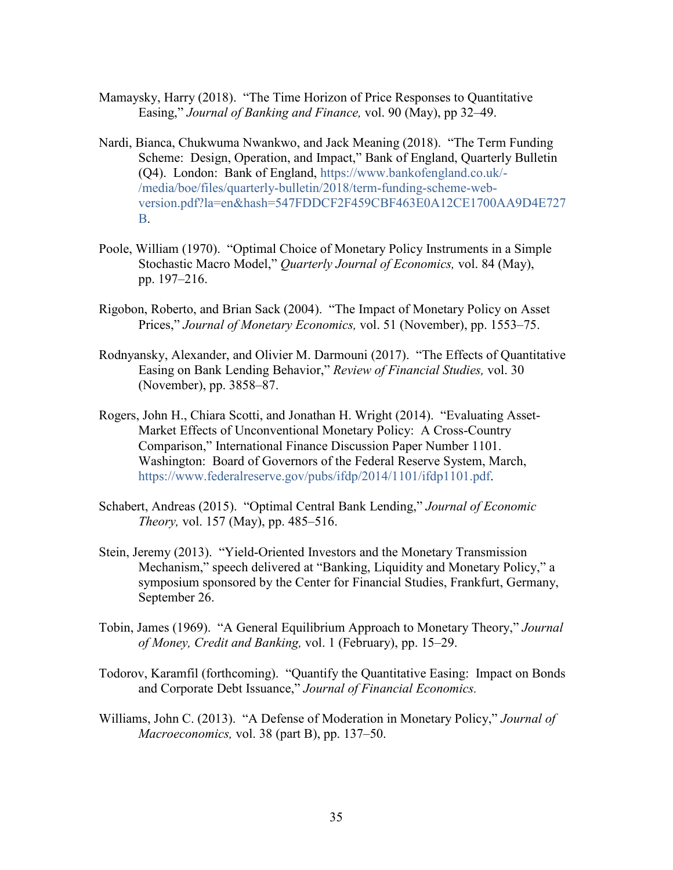- Mamaysky, Harry (2018). "The Time Horizon of Price Responses to Quantitative Easing," *Journal of Banking and Finance,* vol. 90 (May), pp 32–49.
- Nardi, Bianca, Chukwuma Nwankwo, and Jack Meaning (2018). "The Term Funding Scheme: Design, Operation, and Impact," Bank of England, Quarterly Bulletin (Q4). London: Bank of England, [https://www.bankofengland.co.uk/-](https://www.bankofengland.co.uk/-/media/boe/files/quarterly-bulletin/2018/term-funding-scheme-web-version.pdf?la=en&hash=547FDDCF2F459CBF463E0A12CE1700AA9D4E727B) [/media/boe/files/quarterly-bulletin/2018/term-funding-scheme-web](https://www.bankofengland.co.uk/-/media/boe/files/quarterly-bulletin/2018/term-funding-scheme-web-version.pdf?la=en&hash=547FDDCF2F459CBF463E0A12CE1700AA9D4E727B)[version.pdf?la=en&hash=547FDDCF2F459CBF463E0A12CE1700AA9D4E727](https://www.bankofengland.co.uk/-/media/boe/files/quarterly-bulletin/2018/term-funding-scheme-web-version.pdf?la=en&hash=547FDDCF2F459CBF463E0A12CE1700AA9D4E727B) [B.](https://www.bankofengland.co.uk/-/media/boe/files/quarterly-bulletin/2018/term-funding-scheme-web-version.pdf?la=en&hash=547FDDCF2F459CBF463E0A12CE1700AA9D4E727B)
- Poole, William (1970). "Optimal Choice of Monetary Policy Instruments in a Simple Stochastic Macro Model," *Quarterly Journal of Economics,* vol. 84 (May), pp. 197–216.
- Rigobon, Roberto, and Brian Sack (2004). ["The Impact of Monetary Policy on Asset](https://ideas.repec.org/a/eee/moneco/v51y2004i8p1553-1575.html)  [Prices,](https://ideas.repec.org/a/eee/moneco/v51y2004i8p1553-1575.html)" *[Journal of Monetary Economics,](https://ideas.repec.org/s/eee/moneco.html)* vol. 51 (November), pp. 1553–75.
- Rodnyansky, Alexander, and Olivier M. Darmouni (2017). "The Effects of Quantitative Easing on Bank Lending Behavior," *Review of Financial Studies,* vol. 30 (November), pp. 3858–87.
- Rogers, John H., Chiara Scotti, and Jonathan H. Wright (2014). "Evaluating Asset-Market Effects of Unconventional Monetary Policy: A Cross-Country Comparison," International Finance Discussion Paper Number 1101. Washington: Board of Governors of the Federal Reserve System, March, [https://www.federalreserve.gov/pubs/ifdp/2014/1101/ifdp1101.pdf.](https://www.federalreserve.gov/pubs/ifdp/2014/1101/ifdp1101.pdf)
- Schabert, Andreas (2015). "Optimal Central Bank Lending," *Journal of Economic Theory,* vol. 157 (May), pp. 485–516.
- Stein, Jeremy (2013). "Yield-Oriented Investors and the Monetary Transmission Mechanism," speech delivered at "Banking, Liquidity and Monetary Policy," a symposium sponsored by the Center for Financial Studies, Frankfurt, Germany, September 26.
- Tobin, James (1969). "A General Equilibrium Approach to Monetary Theory," *Journal of Money, Credit and Banking,* vol. 1 (February), pp. 15–29.
- Todorov, Karamfil (forthcoming). "Quantify the Quantitative Easing: Impact on Bonds and Corporate Debt Issuance," *Journal of Financial Economics.*
- Williams, John C. (2013). "A Defense of Moderation in Monetary Policy," *Journal of Macroeconomics,* vol. 38 (part B), pp. 137–50.